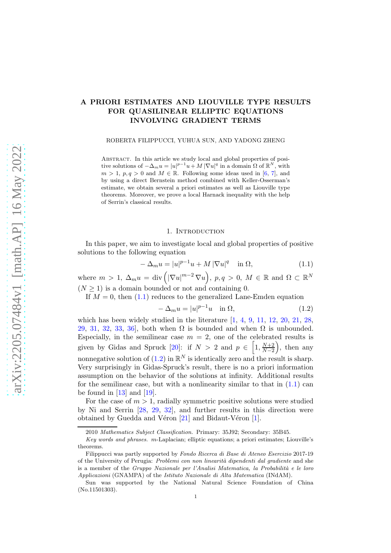# A PRIORI ESTIMATES AND LIOUVILLE TYPE RESULTS FOR QUASILINEAR ELLIPTIC EQUATIONS INVOLVING GRADIENT TERMS

ROBERTA FILIPPUCCI, YUHUA SUN, AND YADONG ZHENG

Abstract. In this article we study local and global properties of positive solutions of  $-\Delta_m u = |u|^{p-1}u + M |\nabla u|^q$  in a domain  $\Omega$  of  $\mathbb{R}^N$ , with  $m > 1$ ,  $p, q > 0$  and  $M \in \mathbb{R}$ . Following some ideas used in [\[6,](#page-25-0) [7\]](#page-25-1), and by using a direct Bernstein method combined with Keller-Osserman's estimate, we obtain several a priori estimates as well as Liouville type theorems. Moreover, we prove a local Harnack inequality with the help of Serrin's classical results.

#### 1. INTRODUCTION

In this paper, we aim to investigate local and global properties of positive solutions to the following equation

<span id="page-0-0"></span>
$$
-\Delta_m u = |u|^{p-1}u + M|\nabla u|^q \quad \text{in } \Omega,\tag{1.1}
$$

where  $m > 1$ ,  $\Delta_m u = \text{div} \left( |\nabla u|^{m-2} \nabla u \right)$ ,  $p, q > 0$ ,  $M \in \mathbb{R}$  and  $\Omega \subset \mathbb{R}^N$  $(N \geq 1)$  is a domain bounded or not and containing 0.

If  $M = 0$ , then  $(1.1)$  reduces to the generalized Lane-Emden equation

<span id="page-0-1"></span>
$$
-\Delta_m u = |u|^{p-1}u \quad \text{in } \Omega,\tag{1.2}
$$

which has been widely studied in the literature  $[1, 4, 9, 11, 12, 20, 21, 28,$  $[1, 4, 9, 11, 12, 20, 21, 28,$  $[1, 4, 9, 11, 12, 20, 21, 28,$  $[1, 4, 9, 11, 12, 20, 21, 28,$  $[1, 4, 9, 11, 12, 20, 21, 28,$  $[1, 4, 9, 11, 12, 20, 21, 28,$  $[1, 4, 9, 11, 12, 20, 21, 28,$  $[1, 4, 9, 11, 12, 20, 21, 28,$  $[1, 4, 9, 11, 12, 20, 21, 28,$  $[1, 4, 9, 11, 12, 20, 21, 28,$  $[1, 4, 9, 11, 12, 20, 21, 28,$  $[1, 4, 9, 11, 12, 20, 21, 28,$  $[1, 4, 9, 11, 12, 20, 21, 28,$  $[1, 4, 9, 11, 12, 20, 21, 28,$ [29,](#page-26-1) [31,](#page-26-2) [32,](#page-26-3) [33,](#page-26-4) 36, both when  $\Omega$  is bounded and when  $\Omega$  is unbounded. Especially, in the semilinear case  $m = 2$ , one of the celebrated results is given by Gidas and Spruck [\[20\]](#page-25-5): if  $N > 2$  and  $p \in \left[1, \frac{N+2}{N-2}\right]$  $N-2$  , then any nonnegative solution of [\(1.2\)](#page-0-1) in  $\mathbb{R}^N$  is identically zero and the result is sharp. Very surprisingly in Gidas-Spruck's result, there is no a priori information assumption on the behavior of the solutions at infinity. Additional results for the semilinear case, but with a nonlinearity similar to that in  $(1.1)$  can be found in  $[13]$  and  $[19]$ .

For the case of  $m > 1$ , radially symmetric positive solutions were studied by Ni and Serrin [\[28,](#page-26-0) [29,](#page-26-1) [32\]](#page-26-3), and further results in this direction were obtained by Guedda and Véron  $[21]$  and Bidaut-Véron  $[1]$ .

<sup>2010</sup> Mathematics Subject Classification. Primary: 35J92; Secondary: 35B45.

Key words and phrases. m-Laplacian; elliptic equations; a priori estimates; Liouville's theorems.

Filippucci was partly supported by Fondo Ricerca di Base di Ateneo Esercizio 2017-19 of the University of Perugia: *Problemi con non linearità dipendenti dal gradiente* and she is a member of the Gruppo Nazionale per l'Analisi Matematica, la Probabilità e le loro Applicazioni (GNAMPA) of the Istituto Nazionale di Alta Matematica (INdAM).

Sun was supported by the National Natural Science Foundation of China (No.11501303).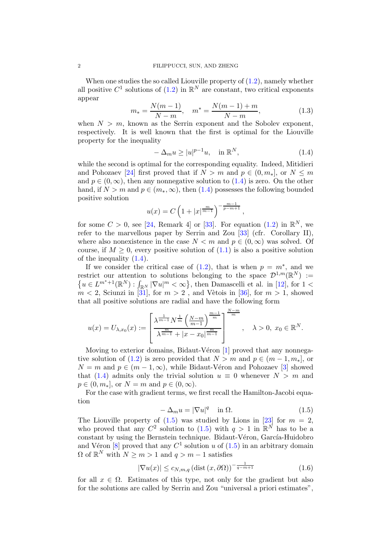When one studies the so called Liouville property of  $(1.2)$ , namely whether all positive  $C^1$  solutions of  $(1.2)$  in  $\mathbb{R}^N$  are constant, two critical exponents appear

$$
m_* = \frac{N(m-1)}{N-m}, \quad m^* = \frac{N(m-1)+m}{N-m}, \tag{1.3}
$$

when  $N > m$ , known as the Serrin exponent and the Sobolev exponent, respectively. It is well known that the first is optimal for the Liouville property for the inequality

<span id="page-1-0"></span>
$$
-\Delta_m u \ge |u|^{p-1}u, \quad \text{in } \mathbb{R}^N,
$$
\n(1.4)

while the second is optimal for the corresponding equality. Indeed, Mitidieri and Pohozaev [\[24\]](#page-25-9) first proved that if  $N > m$  and  $p \in (0, m_*]$ , or  $N \leq m$ and  $p \in (0, \infty)$ , then any nonnegative solution to  $(1.4)$  is zero. On the other hand, if  $N > m$  and  $p \in (m_*, \infty)$ , then [\(1.4\)](#page-1-0) possesses the following bounded positive solution

$$
u(x) = C \left( 1 + |x|^{\frac{m}{m-1}} \right)^{-\frac{m-1}{p-m+1}},
$$

for some  $C > 0$ , see [\[24,](#page-25-9) Remark 4] or [\[33\]](#page-26-4). For equation [\(1.2\)](#page-0-1) in  $\mathbb{R}^N$ , we refer to the marvellous paper by Serrin and Zou [\[33\]](#page-26-4) (cfr. Corollary II), where also nonexistence in the case  $N < m$  and  $p \in (0, \infty)$  was solved. Of course, if  $M \geq 0$ , every positive solution of  $(1.1)$  is also a positive solution of the inequality [\(1.4\)](#page-1-0).

If we consider the critical case of  $(1.2)$ , that is when  $p = m^*$ , and we restrict our attention to solutions belonging to the space  $\mathcal{D}^{1,m}(\mathbb{R}^N) :=$  $\{u \in L^{m^*+1}(\mathbb{R}^N): \int_{\mathbb{R}^N} |\nabla u|^m < \infty\}$ , then Damascelli et al. in [\[12\]](#page-25-4), for  $1 <$  $m < 2$ , Sciunzi in [\[31\]](#page-26-2), for  $m > 2$ , and Vètois in [\[36\]](#page-26-5), for  $m > 1$ , showed that all positive solutions are radial and have the following form

$$
u(x) = U_{\lambda,x_0}(x) := \left[ \frac{\lambda^{\frac{1}{m-1}} N^{\frac{1}{m}} \left( \frac{N-m}{m-1} \right)^{\frac{m-1}{m}}}{\lambda^{\frac{m}{m-1}} + |x - x_0|^{\frac{m}{m-1}}} \right]^{N-m}, \quad \lambda > 0, \ x_0 \in \mathbb{R}^N.
$$

Moving to exterior domains, Bidaut-Véron  $[1]$  proved that any nonnega-tive solution of [\(1.2\)](#page-0-1) is zero provided that  $N > m$  and  $p \in (m-1, m_{*})$ , or  $N = m$  and  $p \in (m - 1, \infty)$ , while Bidaut-Véron and Pohozaev [\[3\]](#page-24-2) showed that [\(1.4\)](#page-1-0) admits only the trivial solution  $u \equiv 0$  whenever  $N > m$  and  $p \in (0, m_*],$  or  $N = m$  and  $p \in (0, \infty)$ .

For the case with gradient terms, we first recall the Hamilton-Jacobi equation

<span id="page-1-1"></span>
$$
-\Delta_m u = |\nabla u|^q \quad \text{in } \Omega. \tag{1.5}
$$

The Liouville property of  $(1.5)$  was studied by Lions in [\[23\]](#page-25-10) for  $m = 2$ , who proved that any  $C^2$  solution to [\(1.5\)](#page-1-1) with  $q > 1$  in  $\mathbb{R}^N$  has to be a constant by using the Bernstein technique. Bidaut-Véron, García-Huidobro and Véron [\[8\]](#page-25-11) proved that any  $C^1$  solution u of  $(1.5)$  in an arbitrary domain  $\Omega$  of  $\mathbb{R}^N$  with  $N \geq m > 1$  and  $q > m - 1$  satisfies

$$
|\nabla u(x)| \le c_{N,m,q} \left(\text{dist}\left(x,\partial\Omega\right)\right)^{-\frac{1}{q-m+1}}\tag{1.6}
$$

for all  $x \in \Omega$ . Estimates of this type, not only for the gradient but also for the solutions are called by Serrin and Zou "universal a priori estimates",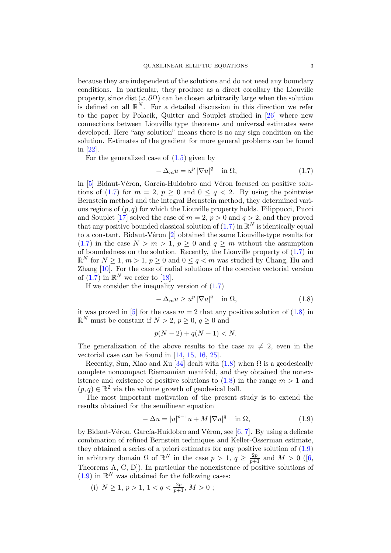because they are independent of the solutions and do not need any boundary conditions. In particular, they produce as a direct corollary the Liouville property, since dist  $(x, \partial\Omega)$  can be chosen arbitrarily large when the solution is defined on all  $\mathbb{R}^N$ . For a detailed discussion in this direction we refer to the paper by Polacik, Quitter and Souplet studied in [\[26\]](#page-25-12) where new connections between Liouville type theorems and universal estimates were developed. Here "any solution" means there is no any sign condition on the solution. Estimates of the gradient for more general problems can be found in [\[22\]](#page-25-13).

For the generalized case of  $(1.5)$  given by

<span id="page-2-0"></span>
$$
-\Delta_m u = u^p |\nabla u|^q \quad \text{in } \Omega,\tag{1.7}
$$

in [\[5\]](#page-25-14) Bidaut-Véron, García-Huidobro and Véron focused on positive solu-tions of [\(1.7\)](#page-2-0) for  $m = 2$ ,  $p \ge 0$  and  $0 \le q < 2$ . By using the pointwise Bernstein method and the integral Bernstein method, they determined various regions of  $(p, q)$  for which the Liouville property holds. Filippucci, Pucci and Souplet [\[17\]](#page-25-15) solved the case of  $m = 2$ ,  $p > 0$  and  $q > 2$ , and they proved that any positive bounded classical solution of  $(1.7)$  in  $\mathbb{R}^N$  is identically equal to a constant. Bidaut-Véron  $[2]$  obtained the same Liouville-type results for [\(1.7\)](#page-2-0) in the case  $N > m > 1$ ,  $p \ge 0$  and  $q \ge m$  without the assumption of boundedness on the solution. Recently, the Liouville property of [\(1.7\)](#page-2-0) in  $\mathbb{R}^N$  for  $N \geq 1$ ,  $m > 1$ ,  $p \geq 0$  and  $0 \leq q < m$  was studied by Chang, Hu and Zhang [\[10\]](#page-25-16). For the case of radial solutions of the coercive vectorial version of  $(1.7)$  in  $\mathbb{R}^N$  we refer to [\[18\]](#page-25-17).

If we consider the inequality version of [\(1.7\)](#page-2-0)

<span id="page-2-1"></span>
$$
-\Delta_m u \ge u^p |\nabla u|^q \quad \text{in } \Omega,\tag{1.8}
$$

it was proved in [\[5\]](#page-25-14) for the case  $m = 2$  that any positive solution of [\(1.8\)](#page-2-1) in  $\mathbb{R}^N$  must be constant if  $N > 2$ ,  $p \ge 0$ ,  $q \ge 0$  and

$$
p(N - 2) + q(N - 1) < N.
$$

The generalization of the above results to the case  $m \neq 2$ , even in the vectorial case can be found in [\[14,](#page-25-18) [15,](#page-25-19) [16,](#page-25-20) [25\]](#page-25-21).

Recently, Sun, Xiao and Xu [\[34\]](#page-26-6) dealt with  $(1.8)$  when  $\Omega$  is a geodesically complete noncompact Riemannian manifold, and they obtained the nonexistence and existence of positive solutions to  $(1.8)$  in the range  $m > 1$  and  $(p,q) \in \mathbb{R}^2$  via the volume growth of geodesical ball.

The most important motivation of the present study is to extend the results obtained for the semilinear equation

<span id="page-2-2"></span>
$$
-\Delta u = |u|^{p-1}u + M|\nabla u|^q \quad \text{in } \Omega,
$$
\n(1.9)

by Bidaut-Véron, García-Huidobro and Véron, see  $[6, 7]$  $[6, 7]$ . By using a delicate combination of refined Bernstein techniques and Keller-Osserman estimate, they obtained a series of a priori estimates for any positive solution of  $(1.9)$ in arbitrary domain  $\Omega$  of  $\mathbb{R}^N$  in the case  $p > 1$ ,  $q \geq \frac{2p}{p+1}$  and  $M > 0$  ([\[6,](#page-25-0) Theorems A, C, D]). In particular the nonexistence of positive solutions of  $(1.9)$  in  $\mathbb{R}^N$  was obtained for the following cases:

(i)  $N \ge 1, p > 1, 1 < q < \frac{2p}{p+1}, M > 0;$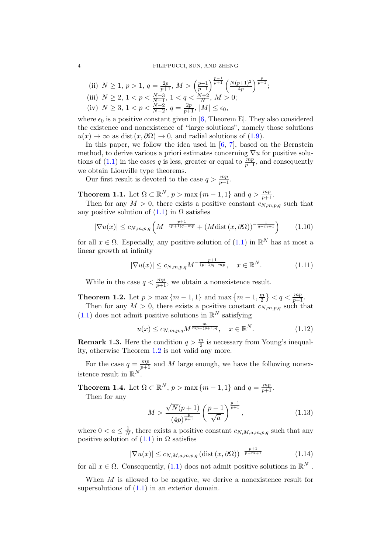(ii) 
$$
N \ge 1
$$
,  $p > 1$ ,  $q = \frac{2p}{p+1}$ ,  $M > \left(\frac{p-1}{p+1}\right)^{\frac{p-1}{p+1}} \left(\frac{N(p+1)^2}{4p}\right)^{\frac{p}{p+1}}$ ;  
(iii)  $N \ge 2$ ,  $1 < p < \frac{N+3}{N-1}$ ,  $1 < q < \frac{N+2}{N}$ ,  $M > 0$ ;

(iv) 
$$
N \ge 3, 1 < p < \frac{N+2}{N-2}, q = \frac{2p}{p+1}, |M| \le \epsilon_0,
$$

where  $\epsilon_0$  is a positive constant given in [\[6,](#page-25-0) Theorem E]. They also considered the existence and nonexistence of "large solutions", namely those solutions  $u(x) \to \infty$  as dist  $(x, \partial \Omega) \to 0$ , and radial solutions of [\(1.9\)](#page-2-2).

In this paper, we follow the idea used in  $[6, 7]$  $[6, 7]$ , based on the Bernstein method, to derive various a priori estimates concerning  $\nabla u$  for positive solu-tions of [\(1.1\)](#page-0-0) in the cases q is less, greater or equal to  $\frac{mp}{p+1}$ , and consequently we obtain Liouville type theorems.

Our first result is devoted to the case  $q > \frac{mp}{p+1}$ .

<span id="page-3-2"></span>**Theorem 1.1.** Let  $\Omega \subset \mathbb{R}^N$ ,  $p > \max\{m-1, 1\}$  and  $q > \frac{mp}{p+1}$ .

Then for any  $M > 0$ , there exists a positive constant  $c_{N,m,p,q}$  such that any positive solution of  $(1.1)$  in  $\Omega$  satisfies

<span id="page-3-3"></span>
$$
|\nabla u(x)| \le c_{N,m,p,q} \left( M^{-\frac{p+1}{(p+1)q - mp}} + (M \text{dist}\left(x, \partial \Omega\right))^{-\frac{1}{q - m + 1}} \right) \tag{1.10}
$$

for all  $x \in \Omega$ . Especially, any positive solution of  $(1.1)$  in  $\mathbb{R}^N$  has at most a linear growth at infinity

<span id="page-3-4"></span>
$$
|\nabla u(x)| \le c_{N,m,p,q} M^{-\frac{p+1}{(p+1)q - mp}}, \quad x \in \mathbb{R}^N.
$$
 (1.11)

While in the case  $q < \frac{mp}{p+1}$ , we obtain a nonexistence result.

<span id="page-3-0"></span>**Theorem 1.2.** Let  $p > \max\{m - 1, 1\}$  and  $\max\{m - 1, \frac{m}{2}\}$  $\left\lfloor \frac{m}{2} \right\rfloor$  <  $q < \frac{mp}{p+1}$ .

Then for any  $M > 0$ , there exists a positive constant  $c_{N,m,p,q}$  such that  $(1.1)$  does not admit positive solutions in  $\mathbb{R}^N$  satisfying

<span id="page-3-5"></span>
$$
u(x) \le c_{N,m,p,q} M^{\frac{m}{mp-(p+1)q}}, \quad x \in \mathbb{R}^N. \tag{1.12}
$$

**Remark 1.3.** Here the condition  $q > \frac{m}{2}$  is necessary from Young's inequality, otherwise Theorem [1.2](#page-3-0) is not valid any more.

For the case  $q = \frac{mp}{p+1}$  and M large enough, we have the following nonexistence result in  $\mathbb{R}^N$ .

<span id="page-3-1"></span>**Theorem 1.4.** Let  $\Omega \subset \mathbb{R}^N$ ,  $p > \max\{m-1, 1\}$  and  $q = \frac{mp}{p+1}$ . Then for any

$$
M > \frac{\sqrt{N}(p+1)}{(4p)^{\frac{p}{p+1}}} \left(\frac{p-1}{\sqrt{a}}\right)^{\frac{p-1}{p+1}},
$$
\n(1.13)

where  $0 < a \leq \frac{1}{N}$  $\frac{1}{N}$ , there exists a positive constant  $c_{N,M,a,m,p,q}$  such that any positive solution of  $(1.1)$  in  $\Omega$  satisfies

<span id="page-3-6"></span>
$$
|\nabla u(x)| \le c_{N,M,a,m,p,q} \left(\text{dist}\left(x,\partial\Omega\right)\right)^{-\frac{p+1}{p-m+1}}\tag{1.14}
$$

for all  $x \in \Omega$ . Consequently, [\(1.1\)](#page-0-0) does not admit positive solutions in  $\mathbb{R}^N$ .

When  $M$  is allowed to be negative, we derive a nonexistence result for supersolutions of [\(1.1\)](#page-0-0) in an exterior domain.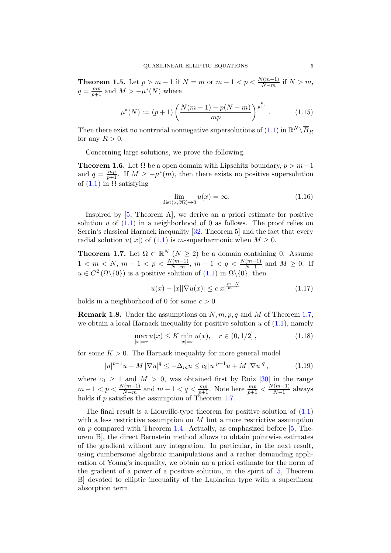<span id="page-4-1"></span>**Theorem 1.5.** Let  $p > m - 1$  if  $N = m$  or  $m - 1 < p < \frac{N(m-1)}{N-m}$  if  $N > m$ ,  $q = \frac{mp}{p+1}$  and  $M > -\mu^*(N)$  where

<span id="page-4-3"></span>
$$
\mu^*(N) := (p+1) \left( \frac{N(m-1) - p(N-m)}{mp} \right)^{\frac{p}{p+1}}.
$$
 (1.15)

Then there exist no nontrivial nonnegative supersolutions of  $(1.1)$  in  $\mathbb{R}^N \setminus \overline{B}_R$ for any  $R > 0$ .

Concerning large solutions, we prove the following.

<span id="page-4-2"></span>**Theorem 1.6.** Let  $\Omega$  be a open domain with Lipschitz boundary,  $p > m-1$ and  $q = \frac{mp}{p+1}$ . If  $M \ge -\mu^*(m)$ , then there exists no positive supersolution of  $(1.1)$  in  $\Omega$  satisfying

<span id="page-4-4"></span>
$$
\lim_{\text{dist}(x,\partial\Omega)\to 0} u(x) = \infty. \tag{1.16}
$$

Inspired by [\[5,](#page-25-14) Theorem A], we derive an a priori estimate for positive solution u of  $(1.1)$  in a neighborhood of 0 as follows. The proof relies on Serrin's classical Harnack inequality [\[32,](#page-26-3) Theorem 5] and the fact that every radial solution  $u(|x|)$  of [\(1.1\)](#page-0-0) is m-superharmonic when  $M \geq 0$ .

<span id="page-4-0"></span>**Theorem 1.7.** Let  $\Omega \subset \mathbb{R}^N (N \geq 2)$  be a domain containing 0. Assume  $1 < m < N, m - 1 < p < \frac{N(m-1)}{N-m}, m - 1 < q < \frac{N(m-1)}{N-1}$  and  $M \ge 0$ . If  $u \in C^2(\Omega \setminus \{0\})$  is a positive solution of  $(1.1)$  in  $\Omega \setminus \{0\}$ , then

$$
u(x) + |x||\nabla u(x)| \le c|x|^{\frac{m-N}{m-1}} \tag{1.17}
$$

holds in a neighborhood of 0 for some  $c > 0$ .

**Remark 1.8.** Under the assumptions on  $N, m, p, q$  and  $M$  of Theorem [1.7,](#page-4-0) we obtain a local Harnack inequality for positive solution  $u$  of  $(1.1)$ , namely

$$
\max_{|x|=r} u(x) \le K \min_{|x|=r} u(x), \quad r \in (0, 1/2], \tag{1.18}
$$

for some  $K > 0$ . The Harnack inequality for more general model

$$
|u|^{p-1}u - M|\nabla u|^q \le -\Delta_m u \le c_0|u|^{p-1}u + M|\nabla u|^q, \tag{1.19}
$$

where  $c_0 \geq 1$  and  $M > 0$ , was obtained first by Ruiz [\[30\]](#page-26-7) in the range  $m-1 < p < \frac{N(m-1)}{N-m}$  and  $m-1 < q < \frac{mp}{p+1}$ . Note here  $\frac{mp}{p+1} < \frac{N(m-1)}{N-1}$  $\frac{(m-1)}{N-1}$  always holds if p satisfies the assumption of Theorem [1.7.](#page-4-0)

The final result is a Liouville-type theorem for positive solution of  $(1.1)$ with a less restrictive assumption on  $M$  but a more restrictive assumption on  $p$  compared with Theorem [1.4.](#page-3-1) Actually, as emphasized before [\[5,](#page-25-14) Theorem B], the direct Bernstein method allows to obtain pointwise estimates of the gradient without any integration. In particular, in the next result, using cumbersome algebraic manipulations and a rather demanding application of Young's inequality, we obtain an a priori estimate for the norm of the gradient of a power of a positive solution, in the spirit of [\[5,](#page-25-14) Theorem B] devoted to elliptic inequality of the Laplacian type with a superlinear absorption term.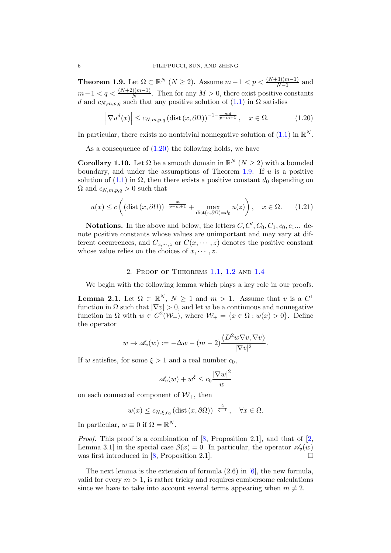<span id="page-5-1"></span>**Theorem 1.9.** Let  $\Omega \subset \mathbb{R}^N$   $(N \geq 2)$ . Assume  $m-1 < p < \frac{(N+3)(m-1)}{N-1}$  and  $m-1 < q < \frac{(N+2)(m-1)}{N}$ . Then for any  $M > 0$ , there exist positive constants d and  $c_{N,m,p,q}$  such that any positive solution of  $(1.1)$  in  $\Omega$  satisfies

<span id="page-5-0"></span>
$$
\left|\nabla u^d(x)\right| \le c_{N,m,p,q} \left(\text{dist}\left(x,\partial\Omega\right)\right)^{-1-\frac{md}{p-m+1}}, \quad x \in \Omega. \tag{1.20}
$$

In particular, there exists no nontrivial nonnegative solution of  $(1.1)$  in  $\mathbb{R}^N$ .

As a consequence of  $(1.20)$  the following holds, we have

**Corollary 1.10.** Let  $\Omega$  be a smooth domain in  $\mathbb{R}^N$   $(N \geq 2)$  with a bounded boundary, and under the assumptions of Theorem [1.9.](#page-5-1) If  $u$  is a positive solution of [\(1.1\)](#page-0-0) in  $\Omega$ , then there exists a positive constant  $d_0$  depending on  $\Omega$  and  $c_{N,m,p,q} > 0$  such that

$$
u(x) \le c \left( \left( \text{dist}\left(x, \partial \Omega\right) \right)^{-\frac{m}{p-m+1}} + \max_{\text{dist}(z, \partial \Omega) = d_0} u(z) \right), \quad x \in \Omega. \tag{1.21}
$$

**Notations.** In the above and below, the letters  $C, C', C_0, C_1, c_0, c_1...$  denote positive constants whose values are unimportant and may vary at different occurrences, and  $C_{x,\dots,z}$  or  $C(x,\dots,z)$  denotes the positive constant whose value relies on the choices of  $x, \dots, z$ .

### 2. Proof of Theorems [1.1,](#page-3-2) [1.2](#page-3-0) and [1.4](#page-3-1)

We begin with the following lemma which plays a key role in our proofs.

<span id="page-5-2"></span>**Lemma 2.1.** Let  $\Omega \subset \mathbb{R}^N$ ,  $N \ge 1$  and  $m > 1$ . Assume that v is a  $C^1$ function in  $\Omega$  such that  $|\nabla v| > 0$ , and let w be a continuous and nonnegative function in  $\Omega$  with  $w \in C^2(\mathcal{W}_+)$ , where  $\mathcal{W}_+ = \{x \in \Omega : w(x) > 0\}$ . Define the operator

$$
w \to \mathscr{A}_v(w) := -\Delta w - (m-2) \frac{\langle D^2 w \nabla v, \nabla v \rangle}{|\nabla v|^2}.
$$

If w satisfies, for some  $\xi > 1$  and a real number  $c_0$ ,

$$
\mathscr{A}_v(w) + w^\xi \le c_0 \frac{|\nabla w|^2}{w}
$$

on each connected component of  $W_+$ , then

$$
w(x) \le c_{N,\xi,c_0} (\text{dist} (x, \partial \Omega))^{-\frac{2}{\xi-1}}, \quad \forall x \in \Omega.
$$

In particular,  $w \equiv 0$  if  $\Omega = \mathbb{R}^N$ .

*Proof.* This proof is a combination of  $[8,$  Proposition 2.1, and that of  $[2,$ Lemma 3.1] in the special case  $\beta(x) = 0$ . In particular, the operator  $\mathscr{A}_v(w)$ was first introduced in [\[8,](#page-25-11) Proposition 2.1].  $\Box$ 

The next lemma is the extension of formula (2.6) in [\[6\]](#page-25-0), the new formula, valid for every  $m > 1$ , is rather tricky and requires cumbersome calculations since we have to take into account several terms appearing when  $m \neq 2$ .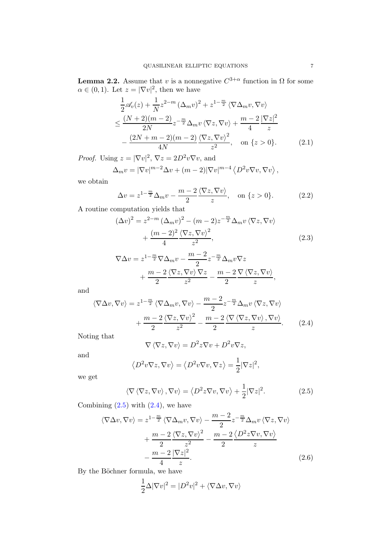**Lemma 2.2.** Assume that v is a nonnegative  $C^{3+\alpha}$  function in  $\Omega$  for some  $\alpha \in (0,1)$ . Let  $z = |\nabla v|^2$ , then we have

$$
\frac{1}{2}\mathscr{A}_{v}(z) + \frac{1}{N}z^{2-m}(\Delta_{m}v)^{2} + z^{1-\frac{m}{2}}\langle\nabla\Delta_{m}v,\nabla v\rangle
$$
\n
$$
\leq \frac{(N+2)(m-2)}{2N}z^{-\frac{m}{2}}\Delta_{m}v\langle\nabla z,\nabla v\rangle + \frac{m-2}{4}\frac{|\nabla z|^{2}}{z}
$$
\n
$$
-\frac{(2N+m-2)(m-2)}{4N}\frac{\langle\nabla z,\nabla v\rangle^{2}}{z^{2}}, \text{ on } \{z>0\}. \tag{2.1}
$$

*Proof.* Using  $z = |\nabla v|^2$ ,  $\nabla z = 2D^2 v \nabla v$ , and

<span id="page-6-4"></span>
$$
\Delta_m v = |\nabla v|^{m-2} \Delta v + (m-2)|\nabla v|^{m-4} \langle D^2 v \nabla v, \nabla v \rangle,
$$

we obtain

$$
\Delta v = z^{1 - \frac{m}{2}} \Delta_m v - \frac{m - 2}{2} \frac{\langle \nabla z, \nabla v \rangle}{z}, \quad \text{on } \{z > 0\}. \tag{2.2}
$$

A routine computation yields that

$$
(\Delta v)^2 = z^{2-m} (\Delta_m v)^2 - (m-2)z^{-\frac{m}{2}} \Delta_m v \langle \nabla z, \nabla v \rangle
$$

$$
+ \frac{(m-2)^2}{4} \frac{\langle \nabla z, \nabla v \rangle^2}{z^2},
$$
(2.3)

<span id="page-6-2"></span>
$$
\nabla \Delta v = z^{1 - \frac{m}{2}} \nabla \Delta_m v - \frac{m - 2}{2} z^{-\frac{m}{2}} \Delta_m v \nabla z + \frac{m - 2}{2} \frac{\langle \nabla z, \nabla v \rangle \nabla z}{z^2} - \frac{m - 2}{2} \frac{\nabla \langle \nabla z, \nabla v \rangle}{z},
$$

and

$$
\langle \nabla \Delta v, \nabla v \rangle = z^{1 - \frac{m}{2}} \langle \nabla \Delta_m v, \nabla v \rangle - \frac{m - 2}{2} z^{-\frac{m}{2}} \Delta_m v \langle \nabla z, \nabla v \rangle + \frac{m - 2}{2} \frac{\langle \nabla z, \nabla v \rangle^2}{z^2} - \frac{m - 2}{2} \frac{\langle \nabla \langle \nabla z, \nabla v \rangle, \nabla v \rangle}{z}.
$$
(2.4)

Noting that

<span id="page-6-1"></span><span id="page-6-0"></span>
$$
\nabla \langle \nabla z, \nabla v \rangle = D^2 z \nabla v + D^2 v \nabla z,
$$

and

$$
\langle D^2 v \nabla z, \nabla v \rangle = \langle D^2 v \nabla v, \nabla z \rangle = \frac{1}{2} |\nabla z|^2,
$$

we get

$$
\langle \nabla \langle \nabla z, \nabla v \rangle, \nabla v \rangle = \langle D^2 z \nabla v, \nabla v \rangle + \frac{1}{2} |\nabla z|^2.
$$
 (2.5)

Combining  $(2.5)$  with  $(2.4)$ , we have

$$
\langle \nabla \Delta v, \nabla v \rangle = z^{1 - \frac{m}{2}} \langle \nabla \Delta_m v, \nabla v \rangle - \frac{m - 2}{2} z^{-\frac{m}{2}} \Delta_m v \langle \nabla z, \nabla v \rangle
$$

$$
+ \frac{m - 2}{2} \frac{\langle \nabla z, \nabla v \rangle^2}{z^2} - \frac{m - 2}{2} \frac{\langle D^2 z \nabla v, \nabla v \rangle}{z}
$$

$$
- \frac{m - 2}{4} \frac{|\nabla z|^2}{z}.
$$
(2.6)

By the Böchner formula, we have

<span id="page-6-3"></span>
$$
\frac{1}{2}\Delta|\nabla v|^2 = |D^2v|^2 + \langle \nabla \Delta v, \nabla v \rangle
$$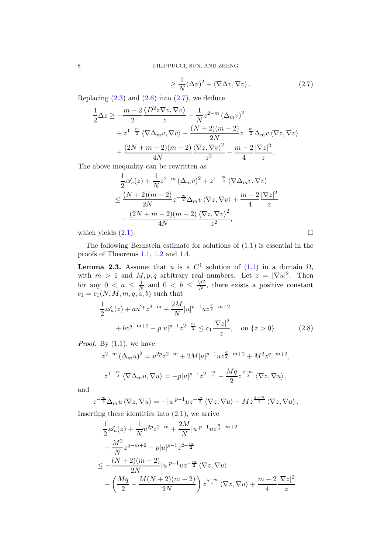<span id="page-7-0"></span>
$$
\geq \frac{1}{N} (\Delta v)^2 + \langle \nabla \Delta v, \nabla v \rangle. \tag{2.7}
$$

Replacing  $(2.3)$  and  $(2.6)$  into  $(2.7)$ , we deduce

$$
\frac{1}{2}\Delta z \ge -\frac{m-2}{2}\frac{\langle D^2 z \nabla v, \nabla v \rangle}{z} + \frac{1}{N}z^{2-m} (\Delta_m v)^2 \n+ z^{1-\frac{m}{2}} \langle \nabla \Delta_m v, \nabla v \rangle - \frac{(N+2)(m-2)}{2N} z^{-\frac{m}{2}} \Delta_m v \langle \nabla z, \nabla v \rangle \n+ \frac{(2N+m-2)(m-2)}{4N} \frac{\langle \nabla z, \nabla v \rangle^2}{z^2} - \frac{m-2}{4} \frac{|\nabla z|^2}{z}.
$$

The above inequality can be rewritten as

$$
\frac{1}{2}\mathscr{A}_{v}(z) + \frac{1}{N}z^{2-m}(\Delta_{m}v)^{2} + z^{1-\frac{m}{2}}\langle\nabla\Delta_{m}v,\nabla v\rangle
$$
\n
$$
\leq \frac{(N+2)(m-2)}{2N}z^{-\frac{m}{2}}\Delta_{m}v\langle\nabla z,\nabla v\rangle + \frac{m-2}{4}\frac{|\nabla z|^{2}}{z}
$$
\n
$$
-\frac{(2N+m-2)(m-2)}{4N}\frac{\langle\nabla z,\nabla v\rangle^{2}}{z^{2}},
$$
\nwhich yields (2.1).

The following Bernstein estimate for solutions of  $(1.1)$  is essential in the proofs of Theorems [1.1,](#page-3-2) [1.2](#page-3-0) and [1.4.](#page-3-1)

**Lemma 2.3.** Assume that u is a  $C^1$  solution of  $(1.1)$  in a domain  $\Omega$ , with  $m > 1$  and  $M, p, q$  arbitrary real numbers. Let  $z = |\nabla u|^2$ . Then for any  $0 < a \leq \frac{1}{N}$  $\frac{1}{N}$  and  $0 < b \leq \frac{M^2}{N}$  $\frac{M^2}{N}$ , there exists a positive constant  $c_1 = c_1(N, M, m, q, a, b)$  such that

$$
\frac{1}{2}\mathscr{A}_u(z) + au^{2p}z^{2-m} + \frac{2M}{N}|u|^{p-1}uz^{\frac{q}{2}-m+2} + bz^{q-m+2} - p|u|^{p-1}z^{2-\frac{m}{2}} \le c_1 \frac{|\nabla z|^2}{z}, \text{ on } \{z > 0\}. \tag{2.8}
$$

*Proof.* By  $(1.1)$ , we have

<span id="page-7-1"></span>
$$
z^{2-m} (\Delta_m u)^2 = u^{2p} z^{2-m} + 2M|u|^{p-1} u z^{\frac{q}{2}-m+2} + M^2 z^{q-m+2},
$$
  

$$
z^{1-\frac{m}{2}} \langle \nabla \Delta_m u, \nabla u \rangle = -p|u|^{p-1} z^{2-\frac{m}{2}} - \frac{Mq}{2} z^{\frac{q-m}{2}} \langle \nabla z, \nabla u \rangle,
$$

and

$$
z^{-\frac{m}{2}}\Delta_m u \langle \nabla z, \nabla u \rangle = -|u|^{p-1} u z^{-\frac{m}{2}} \langle \nabla z, \nabla u \rangle - M z^{\frac{q-m}{2}} \langle \nabla z, \nabla u \rangle.
$$

Inserting these identities into  $(2.1)$ , we arrive

$$
\frac{1}{2} \mathscr{A}_u(z) + \frac{1}{N} u^{2p} z^{2-m} + \frac{2M}{N} |u|^{p-1} u z^{\frac{q}{2} - m + 2} \n+ \frac{M^2}{N} z^{q - m + 2} - p |u|^{p-1} z^{2 - \frac{m}{2}} \n\leq - \frac{(N+2)(m-2)}{2N} |u|^{p-1} u z^{-\frac{m}{2}} \langle \nabla z, \nabla u \rangle \n+ \left( \frac{Mq}{2} - \frac{M(N+2)(m-2)}{2N} \right) z^{\frac{q - m}{2}} \langle \nabla z, \nabla u \rangle + \frac{m - 2}{4} \frac{|\nabla z|^2}{z}
$$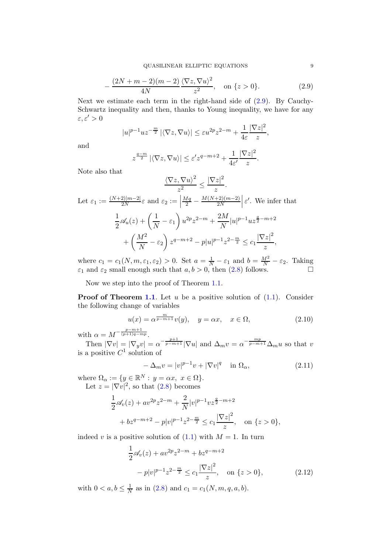$$
-\frac{(2N+m-2)(m-2)}{4N}\frac{\langle \nabla z, \nabla u \rangle^2}{z^2}, \quad \text{on } \{z > 0\}.
$$
 (2.9)

Next we estimate each term in the right-hand side of [\(2.9\)](#page-8-0). By Cauchy-Schwartz inequality and then, thanks to Young inequality, we have for any  $\varepsilon, \varepsilon' > 0$ 

$$
|u|^{p-1}uz^{-\frac{m}{2}}|\langle \nabla z, \nabla u \rangle| \leq \varepsilon u^{2p}z^{2-m} + \frac{1}{4\varepsilon}\frac{|\nabla z|^2}{z},
$$

and

<span id="page-8-0"></span>
$$
z^{\frac{q-m}{2}} |\langle \nabla z, \nabla u \rangle| \le \varepsilon' z^{q-m+2} + \frac{1}{4\varepsilon'} \frac{|\nabla z|^2}{z}.
$$

Note also that

$$
\frac{\langle \nabla z, \nabla u \rangle^2}{z^2} \le \frac{|\nabla z|^2}{z}.
$$
  
Let  $\varepsilon_1 := \frac{(N+2)|m-2|}{2N} \varepsilon$  and  $\varepsilon_2 := \left| \frac{Mq}{2} - \frac{M(N+2)(m-2)}{2N} \right| \varepsilon'$ . We infer that  

$$
\frac{1}{2} \mathscr{A}_u(z) + \left( \frac{1}{N} - \varepsilon_1 \right) u^{2p} z^{2-m} + \frac{2M}{N} |u|^{p-1} u z^{\frac{q}{2} - m + 2}
$$

$$
+ \left( \frac{M^2}{N} - \varepsilon_2 \right) z^{q - m + 2} - p |u|^{p-1} z^{2 - \frac{m}{2}} \le c_1 \frac{|\nabla z|^2}{z},
$$

where  $c_1 = c_1(N, m, \varepsilon_1, \varepsilon_2) > 0$ . Set  $a = \frac{1}{N} - \varepsilon_1$  and  $b = \frac{M^2}{N} - \varepsilon_2$ . Taking  $\varepsilon_1$  and  $\varepsilon_2$  small enough such that  $a, b > 0$ , then  $(2.8)$  follows.

Now we step into the proof of Theorem [1.1.](#page-3-2)

**Proof of Theorem [1.1](#page-3-2).** Let u be a positive solution of  $(1.1)$ . Consider the following change of variables

<span id="page-8-2"></span>
$$
u(x) = \alpha^{\frac{m}{p-m+1}} v(y), \quad y = \alpha x, \quad x \in \Omega,
$$
\n(2.10)

with  $\alpha = M^{-\frac{p-m+1}{(p+1)q - mp}}$ .

Then  $|\nabla v| = |\nabla_y v| = \alpha^{-\frac{p+1}{p-m+1}} |\nabla u|$  and  $\Delta_m v = \alpha^{-\frac{mp}{p-m+1}} \Delta_m u$  so that v is a positive  $C^1$  solution of

<span id="page-8-3"></span>
$$
-\Delta_m v = |v|^{p-1}v + |\nabla v|^q \quad \text{in } \Omega_\alpha,
$$
\n(2.11)

where  $\Omega_{\alpha} := \{y \in \mathbb{R}^{N} : y = \alpha x, x \in \Omega\}.$ Let  $z = |\nabla v|^2$ , so that  $(2.8)$  becomes

$$
\frac{1}{2}\mathscr{A}_v(z) + av^{2p}z^{2-m} + \frac{2}{N}|v|^{p-1}vz^{\frac{q}{2}-m+2} \n+ bz^{q-m+2} - p|v|^{p-1}z^{2-\frac{m}{2}} \le c_1 \frac{|\nabla z|^2}{z}, \text{ on } \{z > 0\},\
$$

indeed v is a positive solution of  $(1.1)$  with  $M = 1$ . In turn

<span id="page-8-1"></span>
$$
\frac{1}{2}\mathscr{A}_v(z) + av^{2p}z^{2-m} + bz^{q-m+2}
$$

$$
-p|v|^{p-1}z^{2-\frac{m}{2}} \le c_1 \frac{|\nabla z|^2}{z}, \quad \text{on } \{z > 0\},\tag{2.12}
$$

with  $0 < a, b \leq \frac{1}{N}$  $\frac{1}{N}$  as in [\(2.8\)](#page-7-1) and  $c_1 = c_1(N, m, q, a, b)$ .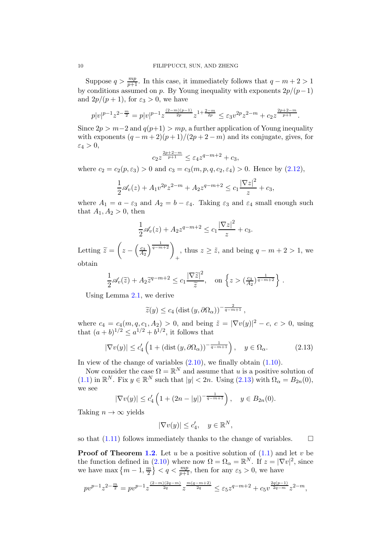Suppose  $q > \frac{mp}{p+1}$ . In this case, it immediately follows that  $q - m + 2 > 1$ by conditions assumed on p. By Young inequality with exponents  $2p/(p-1)$ and  $2p/(p+1)$ , for  $\varepsilon_3 > 0$ , we have

$$
p|v|^{p-1}z^{2-\frac{m}{2}}=p|v|^{p-1}z^{\frac{(2-m)(p-1)}{2p}}z^{1+\frac{2-m}{2p}}\leq\varepsilon_3v^{2p}z^{2-m}+c_2z^{\frac{2p+2-m}{p+1}}.
$$

Since  $2p > m-2$  and  $q(p+1) > mp$ , a further application of Young inequality with exponents  $(q - m + 2)(p + 1)/(2p + 2 - m)$  and its conjugate, gives, for  $\varepsilon_4 > 0$ ,

$$
c_2 z^{\frac{2p+2-m}{p+1}} \le \varepsilon_4 z^{q-m+2} + c_3,
$$

where  $c_2 = c_2(p, \varepsilon_3) > 0$  and  $c_3 = c_3(m, p, q, c_2, \varepsilon_4) > 0$ . Hence by  $(2.12)$ ,

$$
\frac{1}{2}\mathscr{A}_v(z) + A_1 v^{2p} z^{2-m} + A_2 z^{q-m+2} \le c_1 \frac{|\nabla z|^2}{z} + c_3,
$$

where  $A_1 = a - \varepsilon_3$  and  $A_2 = b - \varepsilon_4$ . Taking  $\varepsilon_3$  and  $\varepsilon_4$  small enough such that  $A_1, A_2 > 0$ , then

$$
\frac{1}{2} \mathcal{A}_v(z) + A_2 z^{q-m+2} \le c_1 \frac{|\nabla z|^2}{z} + c_3.
$$

Letting  $\widetilde{z} =$  $\sqrt{2}$  $z - \left(\frac{c_3}{A_2}\right)$  $A_2$  $\frac{1}{q-m+2}$ , thus  $z \geq \tilde{z}$ , and being  $q - m + 2 > 1$ , we + obtain

$$
\frac{1}{2}\mathscr{A}_v(\widetilde{z}) + A_2 \widetilde{z}^{q-m+2} \le c_1 \frac{|\nabla \widetilde{z}|^2}{\widetilde{z}}, \quad \text{on } \left\{ z > \left(\frac{c_3}{A_2}\right)^{\frac{1}{q-m+2}} \right\}.
$$

Using Lemma [2.1,](#page-5-2) we derive

<span id="page-9-0"></span>
$$
\widetilde{z}(y) \le c_4 \left(\text{dist}\left(y, \partial \Omega_{\alpha}\right)\right)^{-\frac{2}{q-m+1}},
$$

where  $c_4 = c_4(m, q, c_1, A_2) > 0$ , and being  $\tilde{z} = |\nabla v(y)|^2 - c$ ,  $c > 0$ , using that  $(a + b)^{1/2} \le a^{1/2} + b^{1/2}$ , it follows that

$$
|\nabla v(y)| \le c_4' \left( 1 + \left( \text{dist} \left( y, \partial \Omega_\alpha \right) \right)^{-\frac{1}{q - m + 1}} \right), \quad y \in \Omega_\alpha. \tag{2.13}
$$

In view of the change of variables  $(2.10)$ , we finally obtain  $(1.10)$ .

Now consider the case  $\Omega = \mathbb{R}^N$  and assume that u is a positive solution of [\(1.1\)](#page-0-0) in  $\mathbb{R}^N$ . Fix  $y \in \mathbb{R}^N$  such that  $|y| < 2n$ . Using  $(2.13)$  with  $\Omega_{\alpha} = B_{2n}(0)$ , we see

$$
|\nabla v(y)| \leq c'_4 \left(1 + (2n - |y|)^{-\frac{1}{q - m + 1}}\right), \quad y \in B_{2n}(0).
$$

Taking  $n \to \infty$  yields

$$
|\nabla v(y)| \le c_4', \quad y \in \mathbb{R}^N,
$$

so that  $(1.11)$  follows immediately thanks to the change of variables.  $\Box$ 

**Proof of Theorem [1.2](#page-3-0).** Let u be a positive solution of  $(1.1)$  and let v be the function defined in [\(2.10\)](#page-8-2) where now  $\Omega = \Omega_{\alpha} = \mathbb{R}^{N}$ . If  $z = |\nabla v|^2$ , since we have max  $\left\{m-1,\frac{m}{2}\right\}$  $\left\{\frac{m}{2}\right\}$  <  $q < \frac{mp}{p+1}$ , then for any  $\varepsilon_5 > 0$ , we have

$$
pv^{p-1}z^{2-\frac{m}{2}}=pv^{p-1}z^{\frac{(2-m)(2q-m)}{2q}}z^{\frac{m(q-m+2)}{2q}}\leq \varepsilon_5z^{q-m+2}+c_5v^{\frac{2q(p-1)}{2q-m}}z^{2-m},
$$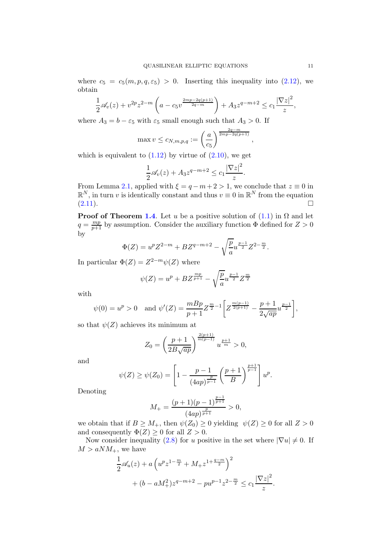where  $c_5 = c_5(m, p, q, \varepsilon_5) > 0$ . Inserting this inequality into [\(2.12\)](#page-8-1), we obtain

$$
\frac{1}{2}\mathscr{A}_v(z) + v^{2p}z^{2-m}\left(a - c_5v^{\frac{2mp-2q(p+1)}{2q-m}}\right) + A_3z^{q-m+2} \le c_1\frac{|\nabla z|^2}{z},
$$

where  $A_3 = b - \varepsilon_5$  with  $\varepsilon_5$  small enough such that  $A_3 > 0$ . If

$$
\max v \le c_{N,m,p,q} := \left(\frac{a}{c_5}\right)^{\frac{2q-m}{2mp-2q(p+1)}}
$$

,

which is equivalent to  $(1.12)$  by virtue of  $(2.10)$ , we get

$$
\frac{1}{2}\mathscr{A}_v(z) + A_3 z^{q-m+2} \le c_1 \frac{|\nabla z|^2}{z}.
$$

From Lemma [2.1,](#page-5-2) applied with  $\xi = q - m + 2 > 1$ , we conclude that  $z \equiv 0$  in  $\mathbb{R}^N$ , in turn v is identically constant and thus  $v \equiv 0$  in  $\mathbb{R}^N$  from the equation  $(2.11).$  $(2.11).$ 

**Proof of Theorem [1.4](#page-3-1).** Let u be a positive solution of  $(1.1)$  in  $\Omega$  and let  $q = \frac{mp}{p+1}$  by assumption. Consider the auxiliary function  $\Phi$  defined for  $Z > 0$ by

$$
\Phi(Z) = u^{p} Z^{2-m} + B Z^{q-m+2} - \sqrt{\frac{p}{a}} u^{\frac{p-1}{2}} Z^{2-\frac{m}{2}}.
$$

In particular  $\Phi(Z) = Z^{2-m} \psi(Z)$  where

$$
\psi(Z) = u^{p} + BZ^{\frac{mp}{p+1}} - \sqrt{\frac{p}{a}} u^{\frac{p-1}{2}} Z^{\frac{m}{2}}
$$

with

$$
\psi(0) = u^p > 0
$$
 and  $\psi'(Z) = \frac{mBp}{p+1} Z^{\frac{m}{2}-1} \left[ Z^{\frac{m(p-1)}{2(p+1)}} - \frac{p+1}{2\sqrt{ap}} u^{\frac{p-1}{2}} \right],$ 

so that  $\psi(Z)$  achieves its minimum at

$$
Z_0 = \left(\frac{p+1}{2B\sqrt{ap}}\right)^{\frac{2(p+1)}{m(p-1)}} u^{\frac{p+1}{m}} > 0,
$$

and

$$
\psi(Z) \ge \psi(Z_0) = \left[1 - \frac{p-1}{(4ap)^{\frac{p}{p-1}}} \left(\frac{p+1}{B}\right)^{\frac{p+1}{p-1}}\right]u^p.
$$

Denoting

$$
M_+=\frac{(p+1)(p-1)^{\frac{p-1}{p+1}}}{(4ap)^{\frac{p}{p+1}}}>0,
$$

we obtain that if  $B \geq M_+$ , then  $\psi(Z_0) \geq 0$  yielding  $\psi(Z) \geq 0$  for all  $Z > 0$ and consequently  $\Phi(Z) \geq 0$  for all  $Z > 0$ .

Now consider inequality [\(2.8\)](#page-7-1) for u positive in the set where  $|\nabla u| \neq 0$ . If  $M > aNM_+$ , we have

$$
\frac{1}{2}\mathscr{A}_u(z) + a\left(u^p z^{1-\frac{m}{2}} + M_+ z^{1+\frac{q-m}{2}}\right)^2
$$
  
+  $(b - aM_+^2)z^{q-m+2} - pu^{p-1}z^{2-\frac{m}{2}} \le c_1 \frac{|\nabla z|^2}{z}.$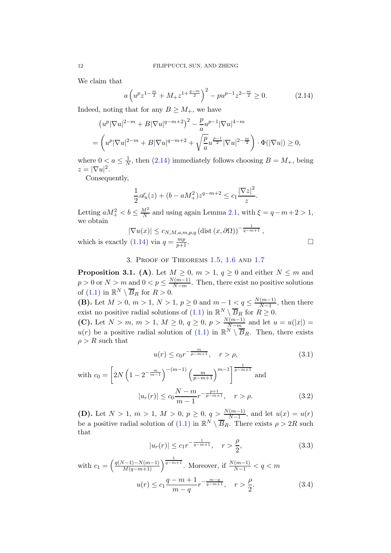We claim that

<span id="page-11-0"></span>
$$
a\left(u^p z^{1-\frac{m}{2}} + M_+ z^{1+\frac{q-m}{2}}\right)^2 - pu^{p-1} z^{2-\frac{m}{2}} \ge 0. \tag{2.14}
$$

Indeed, noting that for any  $B \geq M_+$ , we have

$$
(u^p |\nabla u|^{2-m} + B |\nabla u|^{q-m+2})^2 - \frac{p}{a} u^{p-1} |\nabla u|^{4-m}
$$
  
=  $\left( u^p |\nabla u|^{2-m} + B |\nabla u|^{q-m+2} + \sqrt{\frac{p}{a}} u^{\frac{p-1}{2}} |\nabla u|^{2-\frac{m}{2}} \right) \cdot \Phi(|\nabla u|) \ge 0,$ 

where  $0 < a \leq \frac{1}{N}$  $\frac{1}{N}$ , then [\(2.14\)](#page-11-0) immediately follows choosing  $B = M_{+}$ , being  $z=|\nabla u|^2.$ 

Consequently,

$$
\frac{1}{2}\mathscr{A}_u(z) + (b - aM_+^2)z^{q-m+2} \le c_1 \frac{|\nabla z|^2}{z}.
$$

Letting  $aM_+^2 < b \leq \frac{M^2}{N}$  $\frac{M^2}{N}$  and using again Lemma [2.1,](#page-5-2) with  $\xi = q - m + 2 > 1$ , we obtain

$$
|\nabla u(x)| \le c_{N,M,a,m,p,q} (\text{dist}(x,\partial \Omega))^{-\frac{1}{q-m+1}},
$$
  
(1.14) via  $q = \frac{mp}{p+1}$ .

which is exactly [\(1.14\)](#page-3-6) via  $q = \frac{mp}{n+1}$ 

## 3. Proof of Theorems [1.5,](#page-4-1) [1.6](#page-4-2) and [1.7](#page-4-0)

<span id="page-11-5"></span>**Proposition 3.1.** (A). Let  $M \geq 0$ ,  $m > 1$ ,  $q \geq 0$  and either  $N \leq m$  and  $p > 0$  or  $N > m$  and  $0 < p \leq \frac{N(m-1)}{N-m}$ . Then, there exist no positive solutions of  $(1.1)$  in  $\mathbb{R}^N \setminus \overline{B}_R$  for  $R > 0$ .

(B). Let  $M > 0$ ,  $m > 1$ ,  $N > 1$ ,  $p \ge 0$  and  $m - 1 < q \le \frac{N(m-1)}{N-1}$  $\frac{(m-1)}{N-1}$ , then there exist no positive radial solutions of [\(1.1\)](#page-0-0) in  $\mathbb{R}^N \setminus \overline{B}_R$  for  $R \geq 0$ .

(C). Let  $N > m$ ,  $m > 1$ ,  $M \ge 0$ ,  $q \ge 0$ ,  $p > \frac{N(m-1)}{N-m}$  and let  $u = u(|x|) =$  $u(r)$  be a positive radial solution of  $(1.1)$  in  $\mathbb{R}^N \setminus \overline{B}_R$ . Then, there exists  $\rho > R$  such that

<span id="page-11-2"></span><span id="page-11-1"></span>
$$
u(r) \le c_0 r^{-\frac{m}{p-m+1}}, \quad r > \rho,
$$
\n(3.1)

with 
$$
c_0 = \left[2N\left(1 - 2^{-\frac{m}{m-1}}\right)^{-(m-1)}\left(\frac{m}{p-m+1}\right)^{m-1}\right]^{\frac{1}{p-m+1}}
$$
 and  

$$
|u_r(r)| \le c_0 \frac{N-m}{m-1} r^{-\frac{p+1}{p-m+1}}, \quad r > \rho.
$$
 (3.2)

(D). Let  $N > 1$ ,  $m > 1$ ,  $M > 0$ ,  $p \ge 0$ ,  $q > \frac{N(m-1)}{N-1}$ , and let  $u(x) = u(r)$ be a positive radial solution of  $(1.1)$  in  $\mathbb{R}^N \setminus \overline{B}_R$ . There exists  $\rho > 2R$  such that

<span id="page-11-4"></span><span id="page-11-3"></span>
$$
|u_r(r)| \le c_1 r^{-\frac{1}{q-m+1}}, \quad r > \frac{\rho}{2}, \tag{3.3}
$$

with 
$$
c_1 = \left(\frac{q(N-1)-N(m-1)}{M(q-m+1)}\right)^{\frac{1}{q-m+1}}
$$
. Moreover, if  $\frac{N(m-1)}{N-1} < q < m$   

$$
u(r) \le c_1 \frac{q-m+1}{m-q} r^{-\frac{m-q}{q-m+1}}, \quad r > \frac{\rho}{2}.
$$
 (3.4)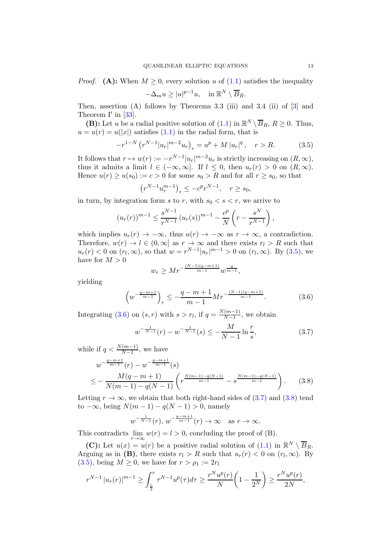*Proof.* (A): When  $M \geq 0$ , every solution u of [\(1.1\)](#page-0-0) satisfies the inequality  $-\Delta_m u \geq |u|^{p-1}u$ , in  $\mathbb{R}^N \setminus \overline{B}_R$ .

Then, assertion (A) follows by Theorems 3.3 (iii) and 3.4 (ii) of [\[3\]](#page-24-2) and Theorem  $I'$  in  $[33]$ .

(B): Let u be a radial positive solution of  $(1.1)$  in  $\mathbb{R}^N \setminus \overline{B}_R$ ,  $R \ge 0$ . Thus,  $u = u(r) = u(|x|)$  satisfies  $(1.1)$  in the radial form, that is

$$
-r^{1-N} (r^{N-1}|u_r|^{m-2}u_r)_r = u^p + M |u_r|^q, \quad r > R. \tag{3.5}
$$

It follows that  $r \mapsto w(r) := -r^{N-1} |u_r|^{m-2} u_r$  is strictly increasing on  $(R, \infty)$ , thus it admits a limit  $l \in (-\infty, \infty]$ . If  $l \leq 0$ , then  $u_r(r) > 0$  on  $(R, \infty)$ . Hence  $u(r) \ge u(s_0) := c > 0$  for some  $s_0 > R$  and for all  $r \ge s_0$ , so that

<span id="page-12-0"></span>
$$
(r^{N-1}u_r^{m-1})_r \le -c^p r^{N-1}, \quad r \ge s_0,
$$

in turn, by integration form s to r, with  $s_0 < s < r$ , we arrive to

$$
(u_r(r))^{m-1} \le \frac{s^{N-1}}{r^{N-1}} (u_r(s))^{m-1} - \frac{c^p}{N} \left(r - \frac{s^N}{r^{N-1}}\right),
$$

which implies  $u_r(r) \to -\infty$ , thus  $u(r) \to -\infty$  as  $r \to \infty$ , a contradiction. Therefore,  $w(r) \to l \in (0,\infty]$  as  $r \to \infty$  and there exists  $r_l > R$  such that  $u_r(r) < 0$  on  $(r_l, \infty)$ , so that  $w = r^{N-1} |u_r|^{m-1} > 0$  on  $(r_l, \infty)$ . By  $(3.5)$ , we have for  $M > 0$ 

<span id="page-12-2"></span><span id="page-12-1"></span>
$$
w_r \ge Mr^{-\frac{(N-1)(q-m+1)}{m-1}} w^{\frac{q}{m-1}},
$$

yielding

$$
\left(w^{-\frac{q-m+1}{m-1}}\right)_r \le -\frac{q-m+1}{m-1}Mr^{-\frac{(N-1)(q-m+1)}{m-1}}.\tag{3.6}
$$

Integrating [\(3.6\)](#page-12-1) on  $(s,r)$  with  $s > r_l$ , if  $q = \frac{N(m-1)}{N-1}$  $\frac{(m-1)}{N-1}$ , we obtain

<span id="page-12-3"></span>
$$
w^{-\frac{1}{N-1}}(r) - w^{-\frac{1}{N-1}}(s) \le -\frac{M}{N-1}\ln\frac{r}{s},\tag{3.7}
$$

while if  $q < \frac{N(m-1)}{N-1}$ , we have

$$
w^{-\frac{q-m+1}{m-1}}(r) - w^{-\frac{q-m+1}{m-1}}(s)
$$
  

$$
\leq -\frac{M(q-m+1)}{N(m-1) - q(N-1)} \left(r^{\frac{N(m-1) - q(N-1)}{m-1}} - s^{\frac{N(m-1) - q(N-1)}{m-1}}\right).
$$
 (3.8)

Letting  $r \to \infty$ , we obtain that both right-hand sides of [\(3.7\)](#page-12-2) and [\(3.8\)](#page-12-3) tend to  $-\infty$ , being  $N(m-1) - q(N-1) > 0$ , namely

$$
w^{-\frac{1}{N-1}}(r), w^{-\frac{q-m+1}{m-1}}(r) \to \infty \text{ as } r \to \infty.
$$

This contradicts  $\lim_{r \to \infty} w(r) = l > 0$ , concluding the proof of (B).

(C): Let  $u(x) = u(r)$  be a positive radial solution of [\(1.1\)](#page-0-0) in  $\mathbb{R}^N \setminus \overline{B}_R$ . Arguing as in (B), there exists  $r_l > R$  such that  $u_r(r) < 0$  on  $(r_l, \infty)$ . By  $(3.5)$ , being  $M \geq 0$ , we have for  $r > \rho_1 := 2r_l$ 

$$
r^{N-1} |u_r(r)|^{m-1} \ge \int_{\frac{r}{2}}^r \tau^{N-1} u^p(\tau) d\tau \ge \frac{r^N u^p(r)}{N} \left(1 - \frac{1}{2^N}\right) \ge \frac{r^N u^p(r)}{2N},
$$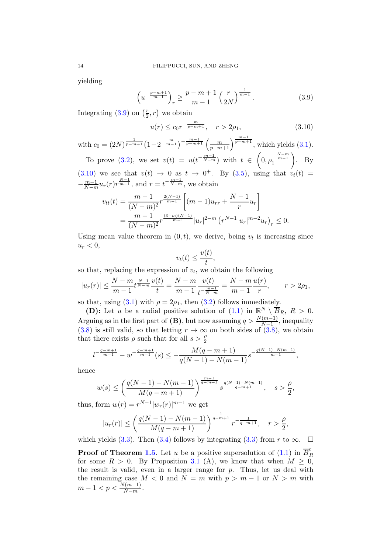yielding

$$
\left(u^{-\frac{p-m+1}{m-1}}\right)_r \ge \frac{p-m+1}{m-1} \left(\frac{r}{2N}\right)^{\frac{1}{m-1}}.\tag{3.9}
$$

Integrating  $(3.9)$  on  $\left(\frac{r}{2}\right)$  $(\frac{r}{2}, r)$  we obtain

<span id="page-13-1"></span><span id="page-13-0"></span>
$$
u(r) \le c_0 r^{-\frac{m}{p-m+1}}, \quad r > 2\rho_1,\tag{3.10}
$$

with  $c_0 = (2N)^{\frac{1}{p-m+1}} \left(1 - 2^{-\frac{m}{m-1}}\right)^{-\frac{m-1}{p-m+1}} \left(\frac{m}{p-m+1}\right)$  $\frac{m}{p-m+1}$  $\Big)^{\frac{m-1}{p-m+1}}$ , which yields [\(3.1\)](#page-11-1). To prove [\(3.2\)](#page-11-2), we set  $v(t) = u(t^{-\frac{m-1}{N-m}})$  with  $t \in$  $\sqrt{2}$  $0, \rho_1^{-\frac{N-m}{m-1}}$  $\setminus$ . By [\(3.10\)](#page-13-1) we see that  $v(t) \rightarrow 0$  as  $t \rightarrow 0^+$ . By [\(3.5\)](#page-12-0), using that  $v_t(t) =$  $-\frac{m-1}{N-m}u_r(r)r^{\frac{N-1}{m-1}}$ , and  $r=t^{-\frac{m-1}{N-m}}$ , we obtain  $2(N-1)$  $\sqrt{ }$ 1

$$
v_{tt}(t) = \frac{m-1}{(N-m)^2} r^{\frac{2(N-1)}{m-1}} \left[ (m-1)u_{rr} + \frac{N-1}{r} u_r \right]
$$
  
= 
$$
\frac{m-1}{(N-m)^2} r^{\frac{(3-m)(N-1)}{m-1}} |u_r|^{2-m} (r^{N-1}|u_r|^{m-2} u_r)_r \le 0.
$$

Using mean value theorem in  $(0, t)$ , we derive, being  $v_t$  is increasing since  $u_r < 0$ ,

$$
v_t(t) \le \frac{v(t)}{t},
$$

so that, replacing the expression of  $v_t$ , we obtain the following

$$
|u_r(r)| \le \frac{N-m}{m-1} t^{\frac{N-1}{N-m}} \frac{v(t)}{t} = \frac{N-m}{m-1} \frac{v(t)}{t^{\frac{m-1}{N-m}}} = \frac{N-m}{m-1} \frac{u(r)}{r}, \qquad r > 2\rho_1,
$$

so that, using [\(3.1\)](#page-11-1) with  $\rho = 2\rho_1$ , then [\(3.2\)](#page-11-2) follows immediately.

**(D):** Let u be a radial positive solution of [\(1.1\)](#page-0-0) in  $\mathbb{R}^N \setminus \overline{B}_R$ ,  $R > 0$ . Arguing as in the first part of (B), but now assuming  $q > \frac{N(m-1)}{N-1}$ , inequality [\(3.8\)](#page-12-3) is still valid, so that letting  $r \to \infty$  on both sides of [\(3.8\)](#page-12-3), we obtain that there exists  $\rho$  such that for all  $s > \frac{\rho}{2}$ 

$$
l^{-\frac{q-m+1}{m-1}}-w^{-\frac{q-m+1}{m-1}}(s)\leq -\frac{M(q-m+1)}{q(N-1)-N(m-1)}s^{-\frac{q(N-1)-N(m-1)}{m-1}},
$$

hence

$$
w(s) \le \left(\frac{q(N-1) - N(m-1)}{M(q-m+1)}\right)^{\frac{m-1}{q-m+1}} s^{\frac{q(N-1) - N(m-1)}{q-m+1}}, \quad s > \frac{\rho}{2},
$$

thus, form  $w(r) = r^{N-1} |w_r(r)|^{m-1}$  we get

$$
|u_r(r)| \le \left(\frac{q(N-1)-N(m-1)}{M(q-m+1)}\right)^{\frac{1}{q-m+1}} r^{-\frac{1}{q-m+1}}, \quad r > \frac{\rho}{2},
$$

which yields [\(3.3\)](#page-11-3). Then [\(3.4\)](#page-11-4) follows by integrating (3.3) from r to  $\infty$ .  $\Box$ 

**Proof of Theorem [1.5](#page-4-1).** Let u be a positive supersolution of  $(1.1)$  in  $\overline{B}_{I}^{c}$ R for some  $R > 0$ . By Proposition [3.1](#page-11-5) (A), we know that when  $M \geq 0$ , the result is valid, even in a larger range for  $p$ . Thus, let us deal with the remaining case  $M < 0$  and  $N = m$  with  $p > m - 1$  or  $N > m$  with  $m-1 < p < \frac{N(m-1)}{N-m}$ .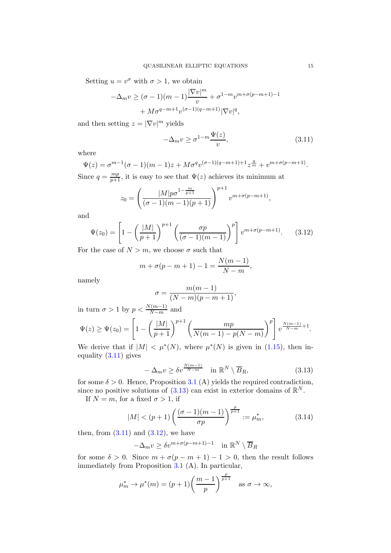Setting  $u = v^{\sigma}$  with  $\sigma > 1$ , we obtain

$$
-\Delta_m v \ge (\sigma - 1)(m - 1)\frac{|\nabla v|^m}{v} + \sigma^{1 - m} v^{m + \sigma(p - m + 1) - 1}
$$

$$
+ M \sigma^{q - m + 1} v^{(\sigma - 1)(q - m + 1)} |\nabla v|^q,
$$

and then setting  $z = |\nabla v|^m$  yields

<span id="page-14-0"></span>
$$
-\Delta_m v \ge \sigma^{1-m} \frac{\Psi(z)}{v},\tag{3.11}
$$

where

$$
\Psi(z) = \sigma^{m-1}(\sigma - 1)(m - 1)z + M\sigma^{q}v^{(\sigma - 1)(q - m + 1) + 1}z^{\frac{q}{m}} + v^{m + \sigma(p - m + 1)}.
$$
  
Since  $q = \frac{mp}{p+1}$ , it is easy to see that  $\Psi(z)$  achieves its minimum at

$$
z_0 = \left(\frac{|M|p\sigma^{1-\frac{m}{p+1}}}{(\sigma-1)(m-1)(p+1)}\right)^{p+1}v^{m+\sigma(p-m+1)},
$$

and

$$
\Psi(z_0) = \left[1 - \left(\frac{|M|}{p+1}\right)^{p+1} \left(\frac{\sigma p}{(\sigma-1)(m-1)}\right)^p\right] v^{m+\sigma(p-m+1)}.\tag{3.12}
$$

For the case of  $N > m$ , we choose  $\sigma$  such that

$$
m + \sigma(p - m + 1) - 1 = \frac{N(m - 1)}{N - m},
$$

namely

<span id="page-14-2"></span>
$$
\sigma = \frac{m(m-1)}{(N-m)(p-m+1)},
$$

in turn  $\sigma > 1$  by  $p < \frac{N(m-1)}{N-m}$  and  $\Psi(z) \ge \Psi(z_0) = \left[1 - \right]$  $\left(\frac{|M|}{p+1}\right)^{p+1} \left(\frac{mp}{N(m-1)-p}\right)$  $N(m-1) - p(N-m)$  $\setminus$ <sup>p</sup>]  $v^{\frac{N(m-1)}{N-m}+1}.$ 

We derive that if  $|M| < \mu^*(N)$ , where  $\mu^*(N)$  is given in [\(1.15\)](#page-4-3), then inequality [\(3.11\)](#page-14-0) gives

<span id="page-14-1"></span>
$$
-\Delta_m v \ge \delta v^{\frac{N(m-1)}{N-m}} \quad \text{in } \mathbb{R}^N \setminus \overline{B}_R,
$$
\n(3.13)

for some  $\delta > 0$ . Hence, Proposition [3.1](#page-11-5) (A) yields the required contradiction, since no positive solutions of  $(3.13)$  can exist in exterior domains of  $\mathbb{R}^N$ .

If  $N = m$ , for a fixed  $\sigma > 1$ , if

$$
|M| < (p+1) \left( \frac{(\sigma - 1)(m-1)}{\sigma p} \right)^{\frac{p}{p+1}} := \mu_m^*,\tag{3.14}
$$

then, from  $(3.11)$  and  $(3.12)$ , we have

$$
-\Delta_m v \ge \delta v^{m+\sigma(p-m+1)-1} \quad \text{in } \mathbb{R}^N \setminus \overline{B}_R
$$

for some  $\delta > 0$ . Since  $m + \sigma(p - m + 1) - 1 > 0$ , then the result follows immediately from Proposition [3.1](#page-11-5) (A). In particular,

$$
\mu_m^* \to \mu^*(m) = (p+1) \left( \frac{m-1}{p} \right)^{\frac{p}{p+1}}
$$
 as  $\sigma \to \infty$ ,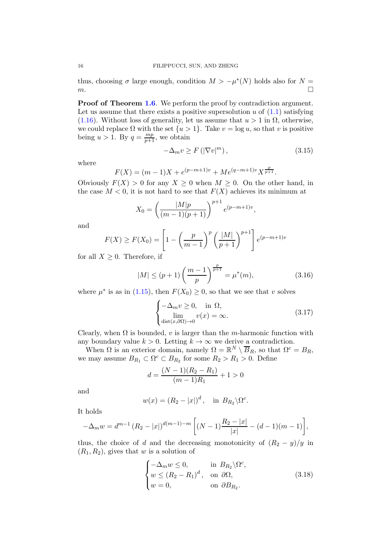thus, choosing  $\sigma$  large enough, condition  $M > -\mu^*(N)$  holds also for  $N =$  $m.$ 

**Proof of Theorem [1.6](#page-4-2).** We perform the proof by contradiction argument. Let us assume that there exists a positive supersolution u of  $(1.1)$  satisfying [\(1.16\)](#page-4-4). Without loss of generality, let us assume that  $u > 1$  in  $\Omega$ , otherwise, we could replace  $\Omega$  with the set  $\{u > 1\}$ . Take  $v = \log u$ , so that v is positive being  $u > 1$ . By  $q = \frac{mp}{p+1}$ , we obtain

$$
-\Delta_m v \ge F\left(\left|\nabla v\right|^m\right),\tag{3.15}
$$

where

$$
F(X) = (m-1)X + e^{(p-m+1)v} + Me^{(q-m+1)v}X^{\frac{p}{p+1}}.
$$

Obviously  $F(X) > 0$  for any  $X \ge 0$  when  $M \ge 0$ . On the other hand, in the case  $M < 0$ , it is not hard to see that  $F(X)$  achieves its minimum at

$$
X_0 = \left(\frac{|M|p}{(m-1)(p+1)}\right)^{p+1} e^{(p-m+1)v},
$$

and

$$
F(X) \ge F(X_0) = \left[1 - \left(\frac{p}{m-1}\right)^p \left(\frac{|M|}{p+1}\right)^{p+1}\right] e^{(p-m+1)v}
$$

for all  $X \geq 0$ . Therefore, if

$$
|M| \le (p+1) \left(\frac{m-1}{p}\right)^{\frac{p}{p+1}} = \mu^*(m),\tag{3.16}
$$

where  $\mu^*$  is as in [\(1.15\)](#page-4-3), then  $F(X_0) \geq 0$ , so that we see that v solves

$$
\begin{cases}\n-\Delta_m v \ge 0, & \text{in } \Omega, \\
\lim_{\text{dist}(x,\partial\Omega)\to 0} v(x) = \infty.\n\end{cases}
$$
\n(3.17)

Clearly, when  $\Omega$  is bounded, v is larger than the m-harmonic function with any boundary value  $k > 0$ . Letting  $k \to \infty$  we derive a contradiction.

When  $\Omega$  is an exterior domain, namely  $\Omega = \mathbb{R}^N \setminus \overline{B}_R$ , so that  $\Omega^c = B_R$ , we may assume  $B_{R_1} \subset \Omega^c \subset B_{R_2}$  for some  $R_2 > R_1 > 0$ . Define

$$
d = \frac{(N-1)(R_2 - R_1)}{(m-1)R_1} + 1 > 0
$$

and

$$
w(x) = (R_2 - |x|)^d, \text{ in } B_{R_2} \backslash \Omega^c.
$$

It holds

$$
-\Delta_m w = d^{m-1} (R_2 - |x|)^{d(m-1)-m} \left[ (N-1) \frac{R_2 - |x|}{|x|} - (d-1)(m-1) \right],
$$

thus, the choice of d and the decreasing monotonicity of  $(R_2 - y)/y$  in  $(R_1, R_2)$ , gives that w is a solution of

$$
\begin{cases}\n-\Delta_m w \le 0, & \text{in } B_{R_2} \backslash \Omega^c, \\
w \le (R_2 - R_1)^d, & \text{on } \partial\Omega, \\
w = 0, & \text{on } \partial B_{R_2}.\n\end{cases}
$$
\n(3.18)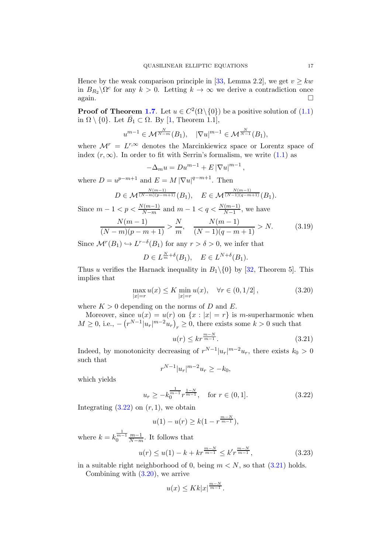Hence by the weak comparison principle in [\[33,](#page-26-4) Lemma 2.2], we get  $v \geq kw$ in  $B_{R_2} \backslash \Omega^c$  for any  $k > 0$ . Letting  $k \to \infty$  we derive a contradiction once  $\Box$  again.

**Proof of Theorem [1.7](#page-4-0).** Let  $u \in C^2(\Omega \setminus \{0\})$  be a positive solution of  $(1.1)$ in  $\Omega \setminus \{0\}$ . Let  $\bar{B}_1 \subset \Omega$ . By [\[1,](#page-24-0) Theorem 1.1],

$$
u^{m-1} \in \mathcal{M}^{\frac{N}{N-m}}(B_1), \quad |\nabla u|^{m-1} \in \mathcal{M}^{\frac{N}{N-1}}(B_1),
$$

where  $\mathcal{M}^r = L^{r,\infty}$  denotes the Marcinkiewicz space or Lorentz space of index  $(r, \infty)$ . In order to fit with Serrin's formalism, we write [\(1.1\)](#page-0-0) as

$$
-\Delta_m u = Du^{m-1} + E |\nabla u|^{m-1}
$$

where  $D = u^{p-m+1}$  and  $E = M |\nabla u|^{q-m+1}$ . Then

$$
D \in \mathcal{M}^{\frac{N(m-1)}{(N-m)(p-m+1)}}(B_1), \quad E \in \mathcal{M}^{\frac{N(m-1)}{(N-1)(q-m+1)}}(B_1).
$$

Since  $m - 1 < p < \frac{N(m-1)}{N-m}$  and  $m - 1 < q < \frac{N(m-1)}{N-1}$ , we have

$$
\frac{N(m-1)}{(N-m)(p-m+1)} > \frac{N}{m}, \quad \frac{N(m-1)}{(N-1)(q-m+1)} > N. \tag{3.19}
$$

Since  $\mathcal{M}^r(B_1) \hookrightarrow L^{r-\delta}(B_1)$  for any  $r > \delta > 0$ , we infer that

$$
D \in L^{\frac{N}{m}+\delta}(B_1), \quad E \in L^{N+\delta}(B_1).
$$

Thus u verifies the Harnack inequality in  $B_1 \setminus \{0\}$  by [\[32,](#page-26-3) Theorem 5]. This implies that

$$
\max_{|x|=r} u(x) \le K \min_{|x|=r} u(x), \quad \forall r \in (0, 1/2],
$$
\n(3.20)

where  $K > 0$  depending on the norms of D and E.

Moreover, since  $u(x) = u(r)$  on  $\{x : |x| = r\}$  is m-superharmonic when  $M \geq 0$ , i.e.,  $-\left(\frac{r^{N-1}|u_r|^{m-2}u_r}{r}\right)_r \geq 0$ , there exists some  $k > 0$  such that

<span id="page-16-1"></span><span id="page-16-0"></span>
$$
u(r) \le kr^{\frac{m-N}{m-1}}.\tag{3.21}
$$

<span id="page-16-3"></span><span id="page-16-2"></span>,

Indeed, by monotonicity decreasing of  $r^{N-1}|u_r|^{m-2}u_r$ , there exists  $k_0 > 0$ such that

$$
r^{N-1}|u_r|^{m-2}u_r \ge -k_0,
$$

which yields

$$
u_r \ge -k_0^{\frac{1}{m-1}} r^{\frac{1-N}{m-1}}, \quad \text{for } r \in (0,1]. \tag{3.22}
$$

Integrating  $(3.22)$  on  $(r, 1)$ , we obtain

$$
u(1) - u(r) \ge k(1 - r^{\frac{m-N}{m-1}}),
$$

where  $k = k_0^{\frac{1}{m-1}} \frac{m-1}{N-m}$  $\frac{m-1}{N-m}$ . It follows that

$$
u(r) \le u(1) - k + kr^{\frac{m-N}{m-1}} \le k'r^{\frac{m-N}{m-1}},
$$
\n(3.23)

in a suitable right neighborhood of 0, being  $m < N$ , so that  $(3.21)$  holds.

Combining with [\(3.20\)](#page-16-2), we arrive

<span id="page-16-4"></span>
$$
u(x)\leq Kk|x|^{\frac{m-N}{m-1}}.
$$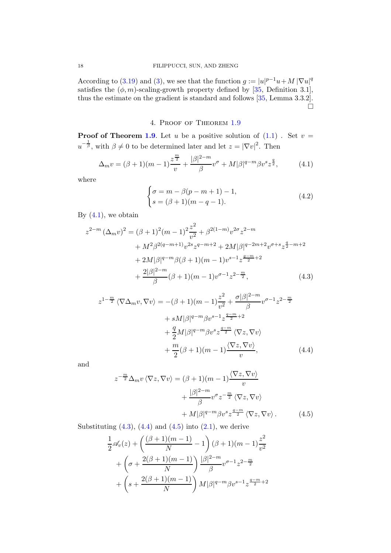According to [\(3.19\)](#page-16-3) and [\(3\)](#page-16-4), we see that the function  $g := |u|^{p-1}u + M |\nabla u|^q$ satisfies the  $(\phi, m)$ -scaling-growth property defined by [\[35,](#page-26-8) Definition 3.1], thus the estimate on the gradient is standard and follows [\[35,](#page-26-8) Lemma 3.3.2].  $\sum$ 

## <span id="page-17-0"></span>4. Proof of Theorem [1.9](#page-5-1)

**Proof of Theorem [1.9](#page-5-1).** Let u be a positive solution of  $(1.1)$ . Set  $v =$  $u^{-\frac{1}{\beta}}$ , with  $\beta \neq 0$  to be determined later and let  $z = |\nabla v|^2$ . Then

$$
\Delta_m v = (\beta + 1)(m - 1)\frac{z^{\frac{m}{2}}}{v} + \frac{|\beta|^{2-m}}{\beta}v^{\sigma} + M|\beta|^{q-m}\beta v^s z^{\frac{q}{2}},\tag{4.1}
$$

where

<span id="page-17-4"></span><span id="page-17-1"></span>
$$
\begin{cases}\n\sigma = m - \beta(p - m + 1) - 1, \\
s = (\beta + 1)(m - q - 1).\n\end{cases}
$$
\n(4.2)

By  $(4.1)$ , we obtain

$$
z^{2-m} (\Delta_m v)^2 = (\beta + 1)^2 (m - 1)^2 \frac{z^2}{v^2} + \beta^{2(1-m)} v^{2\sigma} z^{2-m}
$$
  
+  $M^2 \beta^{2(q-m+1)} v^{2s} z^{q-m+2} + 2M |\beta|^{q-2m+2} v^{\sigma+s} z^{\frac{q}{2}-m+2}$   
+  $2M |\beta|^{q-m} \beta(\beta + 1)(m - 1) v^{s-1} z^{\frac{q-m}{2}+2}$   
+  $\frac{2|\beta|^{2-m}}{\beta} (\beta + 1)(m - 1) v^{\sigma-1} z^{2-\frac{m}{2}},$  (4.3)

$$
z^{1-\frac{m}{2}}\langle \nabla \Delta_m v, \nabla v \rangle = -(\beta+1)(m-1)\frac{z^2}{v^2} + \frac{\sigma |\beta|^{2-m}}{\beta} v^{\sigma-1} z^{2-\frac{m}{2}}
$$

$$
+ sM|\beta|^{q-m} \beta v^{s-1} z^{\frac{q-m}{2}+2}
$$

$$
+ \frac{q}{2}M|\beta|^{q-m} \beta v^s z^{\frac{q-m}{2}} \langle \nabla z, \nabla v \rangle
$$

$$
+ \frac{m}{2}(\beta+1)(m-1)\frac{\langle \nabla z, \nabla v \rangle}{v}, \qquad (4.4)
$$

and

<span id="page-17-3"></span><span id="page-17-2"></span>
$$
z^{-\frac{m}{2}}\Delta_m v \langle \nabla z, \nabla v \rangle = (\beta + 1)(m - 1) \frac{\langle \nabla z, \nabla v \rangle}{v}
$$

$$
+ \frac{|\beta|^{2-m}}{\beta} v^{\sigma} z^{-\frac{m}{2}} \langle \nabla z, \nabla v \rangle
$$

$$
+ M|\beta|^{q-m} \beta v^s z^{\frac{q-m}{2}} \langle \nabla z, \nabla v \rangle. \tag{4.5}
$$

Substituting  $(4.3)$ ,  $(4.4)$  and  $(4.5)$  into  $(2.1)$ , we derive

$$
\frac{1}{2}\mathscr{A}_v(z) + \left(\frac{(\beta+1)(m-1)}{N} - 1\right)(\beta+1)(m-1)\frac{z^2}{v^2} \n+ \left(\sigma + \frac{2(\beta+1)(m-1)}{N}\right)\frac{|\beta|^{2-m}}{\beta}v^{\sigma-1}z^{2-\frac{m}{2}} \n+ \left(s + \frac{2(\beta+1)(m-1)}{N}\right)M|\beta|^{q-m}\beta v^{s-1}z^{\frac{q-m}{2}+2}
$$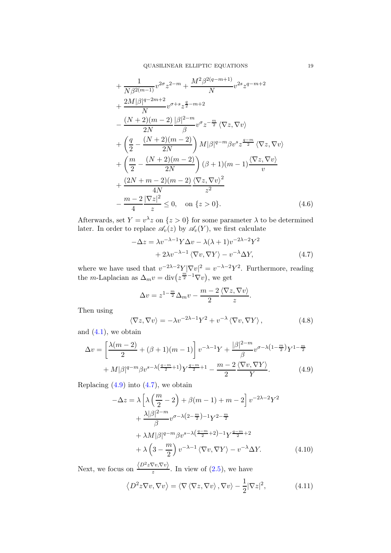$$
+\frac{1}{N\beta^{2(m-1)}}v^{2\sigma}z^{2-m} + \frac{M^2\beta^{2(q-m+1)}}{N}v^{2s}z^{q-m+2} \n+\frac{2M|\beta|^{q-2m+2}}{N}v^{\sigma+s}z^{\frac{q}{2}-m+2} \n-\frac{(N+2)(m-2)}{2N}\frac{|\beta|^{2-m}}{\beta}v^{\sigma}z^{-\frac{m}{2}}\langle \nabla z, \nabla v \rangle \n+\left(\frac{q}{2} - \frac{(N+2)(m-2)}{2N}\right)M|\beta|^{q-m}\beta v^{s}z^{\frac{q-m}{2}}\langle \nabla z, \nabla v \rangle \n+\left(\frac{m}{2} - \frac{(N+2)(m-2)}{2N}\right)(\beta+1)(m-1)\frac{\langle \nabla z, \nabla v \rangle}{v} \n+\frac{(2N+m-2)(m-2)}{4N}\frac{\langle \nabla z, \nabla v \rangle^2}{z^2} \n-\frac{m-2}{4}\frac{|\nabla z|^2}{z} \le 0, \quad \text{on } \{z > 0\}. \tag{4.6}
$$

Afterwards, set  $Y = v^{\lambda} z$  on  $\{z > 0\}$  for some parameter  $\lambda$  to be determined later. In order to replace  $\mathscr{A}_v(z)$  by  $\mathscr{A}_v(Y)$ , we first calculate

<span id="page-18-5"></span>
$$
-\Delta z = \lambda v^{-\lambda - 1} Y \Delta v - \lambda (\lambda + 1) v^{-2\lambda - 2} Y^2 + 2\lambda v^{-\lambda - 1} \langle \nabla v, \nabla Y \rangle - v^{-\lambda} \Delta Y,
$$
(4.7)

where we have used that  $v^{-2\lambda-2}Y|\nabla v|^2 = v^{-\lambda-2}Y^2$ . Furthermore, reading the *m*-Laplacian as  $\Delta_m v = \text{div}\left(z^{\frac{m}{2}-1}\nabla v\right)$ , we get

<span id="page-18-1"></span>
$$
\Delta v = z^{1 - \frac{m}{2}} \Delta_m v - \frac{m - 2}{2} \frac{\langle \nabla z, \nabla v \rangle}{z}.
$$

Then using

<span id="page-18-2"></span><span id="page-18-0"></span>
$$
\langle \nabla z, \nabla v \rangle = -\lambda v^{-2\lambda - 1} Y^2 + v^{-\lambda} \langle \nabla v, \nabla Y \rangle, \qquad (4.8)
$$

and  $(4.1)$ , we obtain

$$
\Delta v = \left[\frac{\lambda(m-2)}{2} + (\beta+1)(m-1)\right]v^{-\lambda-1}Y + \frac{|\beta|^{2-m}}{\beta}v^{\sigma-\lambda(1-\frac{m}{2})}Y^{1-\frac{m}{2}} + M|\beta|^{q-m}\beta v^{s-\lambda(\frac{q-m}{2}+1)}Y^{\frac{q-m}{2}+1} - \frac{m-2}{2}\frac{\langle \nabla v, \nabla Y \rangle}{Y}.
$$
\n(4.9)

Replacing  $(4.9)$  into  $(4.7)$ , we obtain

$$
-\Delta z = \lambda \left[ \lambda \left( \frac{m}{2} - 2 \right) + \beta (m - 1) + m - 2 \right] v^{-2\lambda - 2} Y^2
$$
  
+ 
$$
\frac{\lambda |\beta|^{2-m}}{\beta} v^{\sigma - \lambda (2 - \frac{m}{2}) - 1} Y^{2 - \frac{m}{2}}
$$
  
+ 
$$
\lambda M |\beta|^{q - m} \beta v^{s - \lambda (\frac{q - m}{2} + 2) - 1} Y^{\frac{q - m}{2} + 2}
$$
  
+ 
$$
\lambda \left( 3 - \frac{m}{2} \right) v^{-\lambda - 1} \langle \nabla v, \nabla Y \rangle - v^{-\lambda} \Delta Y.
$$
 (4.10)

Next, we focus on  $\frac{\langle D^2 z \nabla v, \nabla v \rangle}{z}$ . In view of [\(2.5\)](#page-6-0), we have

<span id="page-18-4"></span><span id="page-18-3"></span>
$$
\left\langle D^2 z \nabla v, \nabla v \right\rangle = \left\langle \nabla \left\langle \nabla z, \nabla v \right\rangle, \nabla v \right\rangle - \frac{1}{2} |\nabla z|^2,\tag{4.11}
$$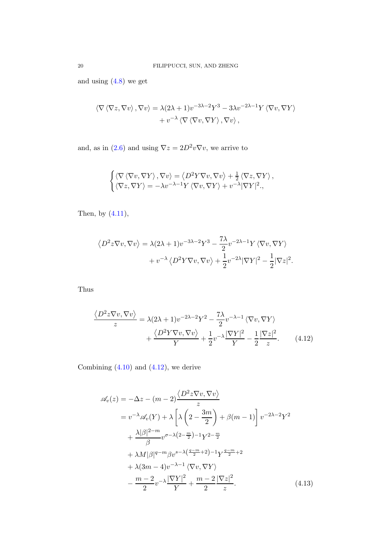and using [\(4.8\)](#page-18-2) we get

$$
\langle \nabla \langle \nabla z, \nabla v \rangle, \nabla v \rangle = \lambda (2\lambda + 1) v^{-3\lambda - 2} Y^3 - 3\lambda v^{-2\lambda - 1} Y \langle \nabla v, \nabla Y \rangle + v^{-\lambda} \langle \nabla \langle \nabla v, \nabla Y \rangle, \nabla v \rangle,
$$

and, as in [\(2.6\)](#page-6-3) and using  $\nabla z = 2D^2 v \nabla v$ , we arrive to

$$
\begin{cases}\n\langle \nabla \langle \nabla v, \nabla Y \rangle, \nabla v \rangle = \langle D^2 Y \nabla v, \nabla v \rangle + \frac{1}{2} \langle \nabla z, \nabla Y \rangle, \\
\langle \nabla z, \nabla Y \rangle = -\lambda v^{-\lambda - 1} Y \langle \nabla v, \nabla Y \rangle + v^{-\lambda} |\nabla Y|^2.\n\end{cases}
$$

Then, by  $(4.11)$ ,

$$
\langle D^2 z \nabla v, \nabla v \rangle = \lambda (2\lambda + 1) v^{-3\lambda - 2} Y^3 - \frac{7\lambda}{2} v^{-2\lambda - 1} Y \langle \nabla v, \nabla Y \rangle + v^{-\lambda} \langle D^2 Y \nabla v, \nabla v \rangle + \frac{1}{2} v^{-2\lambda} |\nabla Y|^2 - \frac{1}{2} |\nabla z|^2.
$$

Thus

<span id="page-19-0"></span>
$$
\frac{\langle D^2 z \nabla v, \nabla v \rangle}{z} = \lambda (2\lambda + 1) v^{-2\lambda - 2} Y^2 - \frac{7\lambda}{2} v^{-\lambda - 1} \langle \nabla v, \nabla Y \rangle + \frac{\langle D^2 Y \nabla v, \nabla v \rangle}{Y} + \frac{1}{2} v^{-\lambda} \frac{|\nabla Y|^2}{Y} - \frac{1}{2} \frac{|\nabla z|^2}{z}.
$$
 (4.12)

Combining  $(4.10)$  and  $(4.12)$ , we derive

<span id="page-19-1"></span>
$$
\mathscr{A}_{v}(z) = -\Delta z - (m-2) \frac{\langle D^{2} z \nabla v, \nabla v \rangle}{z}
$$
  
\n
$$
= v^{-\lambda} \mathscr{A}_{v}(Y) + \lambda \left[ \lambda \left( 2 - \frac{3m}{2} \right) + \beta(m-1) \right] v^{-2\lambda - 2} Y^{2}
$$
  
\n
$$
+ \frac{\lambda |\beta|^{2-m}}{\beta} v^{\sigma - \lambda \left( 2 - \frac{m}{2} \right) - 1} Y^{2 - \frac{m}{2}}
$$
  
\n
$$
+ \lambda M |\beta|^{q-m} \beta v^{s-\lambda \left( \frac{q-m}{2} + 2 \right) - 1} Y^{\frac{q-m}{2} + 2}
$$
  
\n
$$
+ \lambda (3m - 4) v^{-\lambda - 1} \langle \nabla v, \nabla Y \rangle
$$
  
\n
$$
- \frac{m - 2}{2} v^{-\lambda} \frac{|\nabla Y|^{2}}{Y} + \frac{m - 2}{2} \frac{|\nabla z|^{2}}{z}.
$$
 (4.13)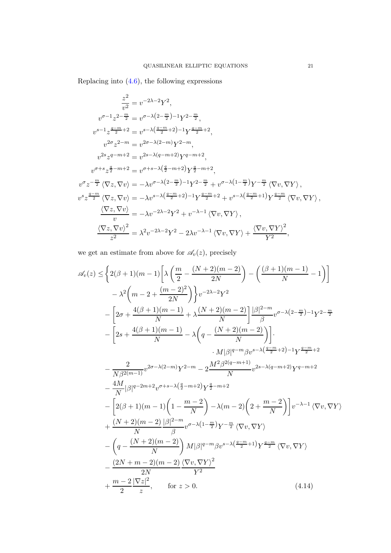Replacing into [\(4.6\)](#page-18-5), the following expressions

$$
\frac{z^2}{v^2} = v^{-2\lambda - 2} Y^2,
$$
  
\n
$$
v^{\sigma - 1} z^{2 - \frac{m}{2}} = v^{\sigma - \lambda (2 - \frac{m}{2}) - 1} Y^{2 - \frac{m}{2}},
$$
  
\n
$$
v^{s - 1} z^{\frac{q - m}{2} + 2} = v^{s - \lambda (\frac{q - m}{2} + 2) - 1} Y^{\frac{q - m}{2} + 2},
$$
  
\n
$$
v^{2\sigma} z^{2 - m} = v^{2\sigma - \lambda (2 - m)} Y^{2 - m},
$$
  
\n
$$
v^{2s} z^{q - m + 2} = v^{2s - \lambda (q - m + 2)} Y^{q - m + 2},
$$
  
\n
$$
v^{\sigma + s} z^{\frac{q}{2} - m + 2} = v^{\sigma + s - \lambda (\frac{q}{2} - m + 2)} Y^{\frac{q}{2} - m + 2},
$$
  
\n
$$
v^{\sigma} z^{-\frac{m}{2}} \langle \nabla z, \nabla v \rangle = -\lambda v^{\sigma - \lambda (2 - \frac{m}{2}) - 1} Y^{2 - \frac{m}{2}} + v^{\sigma - \lambda (1 - \frac{m}{2})} Y^{-\frac{m}{2}} \langle \nabla v, \nabla Y \rangle,
$$
  
\n
$$
v^{s} z^{\frac{q - m}{2}} \langle \nabla z, \nabla v \rangle = -\lambda v^{s - \lambda (\frac{q - m}{2} + 2) - 1} Y^{\frac{q - m}{2} + 2} + v^{s - \lambda (\frac{q - m}{2} + 1)} Y^{\frac{q - m}{2}} \langle \nabla v, \nabla Y \rangle,
$$
  
\n
$$
\frac{\langle \nabla z, \nabla v \rangle}{v} = -\lambda v^{-2\lambda - 2} Y^2 + v^{-\lambda - 1} \langle \nabla v, \nabla Y \rangle,
$$
  
\n
$$
\frac{\langle \nabla z, \nabla v \rangle^2}{z^2} = \lambda^2 v^{-2\lambda - 2} Y^2 - 2\lambda v^{-\lambda - 1} \langle \nabla v, \nabla Y \rangle + \frac{\langle \nabla v, \nabla Y \rangle^2}{Y^2},
$$

we get an estimate from above for  $\mathcal{A}_{v}(z)$ , precisely

<span id="page-20-0"></span>
$$
\mathscr{A}_{v}(z) \leq \left\{ 2(\beta+1)(m-1) \left[ \lambda \left( \frac{m}{2} - \frac{(N+2)(m-2)}{2N} \right) - \left( \frac{(\beta+1)(m-1)}{N} - 1 \right) \right] \right\}
$$
  
\n
$$
- \lambda^{2} \left( m - 2 + \frac{(m-2)^{2}}{2N} \right) \left\} v^{-2\lambda-2} Y^{2}
$$
  
\n
$$
- \left[ 2\sigma + \frac{4(\beta+1)(m-1)}{N} + \lambda \frac{(N+2)(m-2)}{N} \right] \frac{|\beta|^{2-m}}{\beta} v^{\sigma-\lambda(2-\frac{m}{2})-1} Y^{2-\frac{m}{2}}
$$
  
\n
$$
- \left[ 2s + \frac{4(\beta+1)(m-1)}{N} - \lambda \left( q - \frac{(N+2)(m-2)}{N} \right) \right].
$$
  
\n
$$
\cdot M|\beta|^{q-m} \beta v^{s-\lambda(\frac{q-m}{2}+2)-1} Y^{\frac{q-m}{2}+2}
$$
  
\n
$$
- \frac{2}{N\beta^{2(m-1)}} v^{2\sigma-\lambda(2-m)} Y^{2-m} - 2 \frac{M^{2}\beta^{2(q-m+1)}}{N} v^{2s-\lambda(q-m+2)} Y^{q-m+2}
$$
  
\n
$$
- \frac{4M}{N} |\beta|^{q-2m+2} v^{\sigma+s-\lambda(\frac{q}{2}-m+2)} Y^{\frac{q}{2}-m+2}
$$
  
\n
$$
- \left[ 2(\beta+1)(m-1) \left( 1 - \frac{m-2}{N} \right) - \lambda(m-2) \left( 2 + \frac{m-2}{N} \right) \right] v^{-\lambda-1} \langle \nabla v, \nabla Y \rangle
$$
  
\n
$$
+ \frac{(N+2)(m-2)}{N} |\beta|^{2-m} v^{\sigma-\lambda(1-\frac{m}{2})} Y^{-\frac{m}{2}} \langle \nabla v, \nabla Y \rangle
$$
  
\n
$$
- \left( q - \frac{(N+2)(m-2)}{N} \right) M |\beta|^{q-m} \beta v^{s-\lambda(\frac{q-m}{2}+1)} Y^{\frac{q-m}{2}} \langle \nabla v, \nabla
$$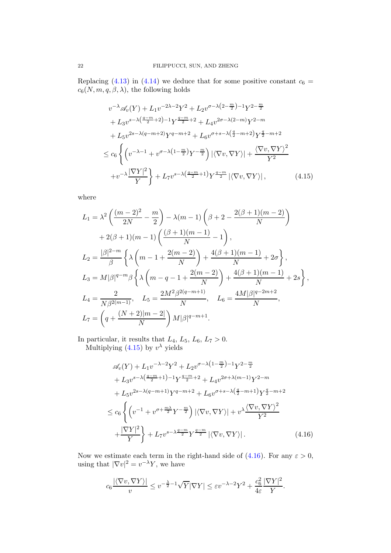Replacing [\(4.13\)](#page-19-1) in [\(4.14\)](#page-20-0) we deduce that for some positive constant  $c_6 =$  $c_6(N, m, q, \beta, \lambda)$ , the following holds

<span id="page-21-0"></span>
$$
v^{-\lambda} \mathscr{A}_{v}(Y) + L_{1}v^{-2\lambda - 2}Y^{2} + L_{2}v^{\sigma - \lambda\left(2 - \frac{m}{2}\right) - 1}Y^{2 - \frac{m}{2}}
$$
  
+  $L_{3}v^{s - \lambda\left(\frac{q - m}{2} + 2\right) - 1}Y^{\frac{q - m}{2} + 2} + L_{4}v^{2\sigma - \lambda(2 - m)}Y^{2 - m}$   
+  $L_{5}v^{2s - \lambda(q - m + 2)}Y^{q - m + 2} + L_{6}v^{\sigma + s - \lambda\left(\frac{q}{2} - m + 2\right)}Y^{\frac{q}{2} - m + 2}$   

$$
\leq c_{6}\left\{ \left(v^{-\lambda - 1} + v^{\sigma - \lambda\left(1 - \frac{m}{2}\right)}Y^{-\frac{m}{2}}\right) |\langle \nabla v, \nabla Y \rangle| + \frac{\langle \nabla v, \nabla Y \rangle^{2}}{Y^{2}} + v^{-\lambda\left(\frac{pY}{2}\right)^{2}} \right\} + L_{7}v^{s - \lambda\left(\frac{q - m}{2} + 1\right)}Y^{\frac{q - m}{2}} |\langle \nabla v, \nabla Y \rangle|, \tag{4.15}
$$

where

$$
L_1 = \lambda^2 \left( \frac{(m-2)^2}{2N} - \frac{m}{2} \right) - \lambda(m-1) \left( \beta + 2 - \frac{2(\beta+1)(m-2)}{N} \right)
$$
  
+ 2(\beta+1)(m-1) \left( \frac{(\beta+1)(m-1)}{N} - 1 \right),  

$$
L_2 = \frac{|\beta|^{2-m}}{\beta} \left\{ \lambda \left( m - 1 + \frac{2(m-2)}{N} \right) + \frac{4(\beta+1)(m-1)}{N} + 2\sigma \right\},
$$
  

$$
L_3 = M|\beta|^{q-m}\beta \left\{ \lambda \left( m - q - 1 + \frac{2(m-2)}{N} \right) + \frac{4(\beta+1)(m-1)}{N} + 2s \right\},
$$
  

$$
L_4 = \frac{2}{N\beta^{2(m-1)}}, \quad L_5 = \frac{2M^2\beta^{2(q-m+1)}}{N}, \quad L_6 = \frac{4M|\beta|^{q-2m+2}}{N},
$$
  

$$
L_7 = \left( q + \frac{(N+2)|m-2|}{N} \right) M|\beta|^{q-m+1}.
$$

In particular, it results that  $L_4$ ,  $L_5$ ,  $L_6$ ,  $L_7 > 0$ . Multiplying  $(4.15)$  by  $v^{\lambda}$  yields

$$
\mathscr{A}_{v}(Y) + L_{1}v^{-\lambda-2}Y^{2} + L_{2}v^{\sigma-\lambda(1-\frac{m}{2})-1}Y^{2-\frac{m}{2}} \n+ L_{3}v^{s-\lambda(\frac{q-m}{2}+1)-1}Y^{\frac{q-m}{2}+2} + L_{4}v^{2\sigma+\lambda(m-1)}Y^{2-m} \n+ L_{5}v^{2s-\lambda(q-m+1)}Y^{q-m+2} + L_{6}v^{\sigma+s-\lambda(\frac{q}{2}-m+1)}Y^{\frac{q}{2}-m+2} \n\leq c_{6}\left\{ \left(v^{-1} + v^{\sigma+\frac{m\lambda}{2}}Y^{-\frac{m}{2}}\right)|\langle \nabla v, \nabla Y \rangle| + v^{\lambda}\frac{\langle \nabla v, \nabla Y \rangle^{2}}{Y^{2}} + \frac{|\nabla Y|^{2}}{Y}\right\} + L_{7}v^{s-\lambda\frac{q-m}{2}}Y^{\frac{q-m}{2}}|\langle \nabla v, \nabla Y \rangle|. \tag{4.16}
$$

Now we estimate each term in the right-hand side of  $(4.16)$ . For any  $\varepsilon > 0$ , using that  $|\nabla v|^2 = v^{-\lambda} Y$ , we have

<span id="page-21-1"></span>
$$
c_6 \frac{|\langle \nabla v, \nabla Y \rangle|}{v} \le v^{-\frac{\lambda}{2}-1} \sqrt{Y} |\nabla Y| \le \varepsilon v^{-\lambda - 2} Y^2 + \frac{c_6^2}{4\varepsilon} \frac{|\nabla Y|^2}{Y}.
$$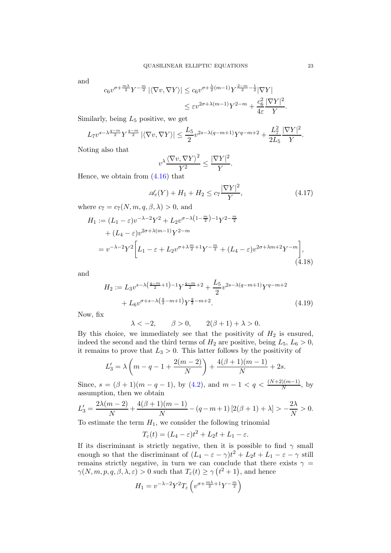and

$$
c_6 v^{\sigma + \frac{m\lambda}{2}} Y^{-\frac{m}{2}} |\langle \nabla v, \nabla Y \rangle| \le c_6 v^{\sigma + \frac{\lambda}{2}(m-1)} Y^{\frac{2-m}{2} - \frac{1}{2}} |\nabla Y|
$$
  

$$
\le \varepsilon v^{2\sigma + \lambda(m-1)} Y^{2-m} + \frac{c_6^2}{4\varepsilon} \frac{|\nabla Y|^2}{Y}
$$

Similarly, being  $L_5$  positive, we get

$$
L_7 v^{s-\lambda \frac{q-m}{2}} Y^{\frac{q-m}{2}} |\langle \nabla v, \nabla Y \rangle| \le \frac{L_5}{2} v^{2s-\lambda(q-m+1)} Y^{q-m+2} + \frac{L_7^2}{2L_5} \frac{|\nabla Y|^2}{Y}.
$$

Noting also that

$$
v^{\lambda} \frac{\langle \nabla v, \nabla Y \rangle^2}{Y^2} \le \frac{|\nabla Y|^2}{Y}.
$$

Hence, we obtain from  $(4.16)$  that

$$
\mathcal{A}_v(Y) + H_1 + H_2 \le c_7 \frac{|\nabla Y|^2}{Y},\tag{4.17}
$$

where  $c_7 = c_7(N, m, q, \beta, \lambda) > 0$ , and

$$
H_1 := (L_1 - \varepsilon)v^{-\lambda - 2}Y^2 + L_2v^{\sigma - \lambda(1 - \frac{m}{2}) - 1}Y^{2 - \frac{m}{2}}
$$
  
+  $(L_4 - \varepsilon)v^{2\sigma + \lambda(m-1)}Y^{2 - m}$   
=  $v^{-\lambda - 2}Y^2 \bigg[L_1 - \varepsilon + L_2v^{\sigma + \lambda \frac{m}{2} + 1}Y^{-\frac{m}{2}} + (L_4 - \varepsilon)v^{2\sigma + \lambda m + 2}Y^{-m}\bigg],$  (4.18)

and

$$
H_2 := L_3 v^{s-\lambda\left(\frac{q-m}{2}+1\right)-1} Y^{\frac{q-m}{2}+2} + \frac{L_5}{2} v^{2s-\lambda(q-m+1)} Y^{q-m+2}
$$
  
+ 
$$
L_6 v^{\sigma+s-\lambda\left(\frac{q}{2}-m+1\right)} Y^{\frac{q}{2}-m+2}.
$$
 (4.19)

Now, fix

<span id="page-22-2"></span>
$$
\lambda < -2, \qquad \beta > 0, \qquad 2(\beta + 1) + \lambda > 0.
$$

By this choice, we immediately see that the positivity of  $H_2$  is ensured, indeed the second and the third terms of  $H_2$  are positive, being  $L_5$ ,  $L_6 > 0$ , it remains to prove that  $L_3 > 0$ . This latter follows by the positivity of

$$
L_3' = \lambda \left( m - q - 1 + \frac{2(m - 2)}{N} \right) + \frac{4(\beta + 1)(m - 1)}{N} + 2s.
$$

Since,  $s = (\beta + 1)(m - q - 1)$ , by [\(4.2\)](#page-17-4), and  $m - 1 < q < \frac{(N+2)(m-1)}{N}$ , by assumption, then we obtain

$$
L_3' = \frac{2\lambda(m-2)}{N} + \frac{4(\beta+1)(m-1)}{N} - (q-m+1)\left[2(\beta+1) + \lambda\right] > -\frac{2\lambda}{N} > 0.
$$

To estimate the term  $H_1$ , we consider the following trinomial

$$
T_{\varepsilon}(t) = (L_4 - \varepsilon)t^2 + L_2t + L_1 - \varepsilon.
$$

If its discriminant is strictly negative, then it is possible to find  $\gamma$  small enough so that the discriminant of  $(L_4 - \varepsilon - \gamma)t^2 + L_2t + L_1 - \varepsilon - \gamma$  still remains strictly negative, in turn we can conclude that there exists  $\gamma$  =  $\gamma(N, m, p, q, \beta, \lambda, \varepsilon) > 0$  such that  $T_{\varepsilon}(t) \geq \gamma( t^2 + 1)$ , and hence

$$
H_1 = v^{-\lambda - 2} Y^2 T_{\varepsilon} \left( v^{\sigma + \frac{m\lambda}{2} + 1} Y^{-\frac{m}{2}} \right)
$$

<span id="page-22-1"></span><span id="page-22-0"></span>.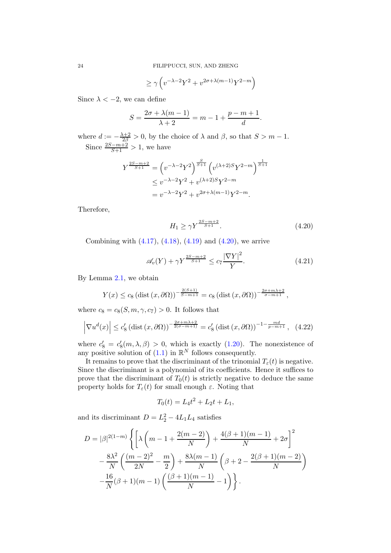$$
\ge \gamma \left(v^{-\lambda-2} Y^2 + v^{2\sigma + \lambda(m-1)} Y^{2-m}\right)
$$

Since  $\lambda < -2$ , we can define

$$
S = \frac{2\sigma + \lambda(m-1)}{\lambda + 2} = m - 1 + \frac{p - m + 1}{d}.
$$

where  $d := -\frac{\lambda+2}{2\beta} > 0$ , by the choice of  $\lambda$  and  $\beta$ , so that  $S > m - 1$ . Since  $\frac{2S-m+2}{S+1} > 1$ , we have

$$
Y^{\frac{2S-m+2}{S+1}} = \left(v^{-\lambda - 2}Y^2\right)^{\frac{S}{S+1}} \left(v^{(\lambda+2)S}Y^{2-m}\right)^{\frac{1}{S+1}}
$$
  
\n
$$
\leq v^{-\lambda - 2}Y^2 + v^{(\lambda+2)S}Y^{2-m}
$$
  
\n
$$
= v^{-\lambda - 2}Y^2 + v^{2\sigma + \lambda(m-1)}Y^{2-m}.
$$

Therefore,

<span id="page-23-0"></span>
$$
H_1 \ge \gamma Y^{\frac{2S - m + 2}{S + 1}}.\tag{4.20}
$$

Combining with  $(4.17)$ ,  $(4.18)$ ,  $(4.19)$  and  $(4.20)$ , we arrive

$$
\mathcal{A}_v(Y) + \gamma Y^{\frac{2S - m + 2}{S + 1}} \le c_7 \frac{|\nabla Y|^2}{Y}.
$$
\n(4.21)

By Lemma [2.1,](#page-5-2) we obtain

$$
Y(x) \le c_8 \left(\text{dist}\left(x,\partial\Omega\right)\right)^{-\frac{2(S+1)}{S-m+1}} = c_8 \left(\text{dist}\left(x,\partial\Omega\right)\right)^{-\frac{2\sigma+m\lambda+2}{\sigma-m+1}},
$$

where  $c_8 = c_8(S, m, \gamma, c_7) > 0$ . It follows that

$$
\left|\nabla u^d(x)\right| \le c_8' \left(\text{dist}\left(x,\partial\Omega\right)\right)^{-\frac{2\sigma+m\lambda+2}{2(\sigma-m+1)}} = c_8' \left(\text{dist}\left(x,\partial\Omega\right)\right)^{-1-\frac{md}{p-m+1}},\tag{4.22}
$$

where  $c'_8 = c'_8(m, \lambda, \beta) > 0$ , which is exactly [\(1.20\)](#page-5-0). The nonexistence of any positive solution of  $(1.1)$  in  $\mathbb{R}^N$  follows consequently.

It remains to prove that the discriminant of the trinomial  $T_{\varepsilon}(t)$  is negative. Since the discriminant is a polynomial of its coefficients. Hence it suffices to prove that the discriminant of  $T_0(t)$  is strictly negative to deduce the same property holds for  $T_{\varepsilon}(t)$  for small enough  $\varepsilon$ . Noting that

$$
T_0(t) = L_4 t^2 + L_2 t + L_1,
$$

and its discriminant  $D = L_2^2 - 4L_1L_4$  satisfies

$$
D = |\beta|^{2(1-m)} \left\{ \left[ \lambda \left( m - 1 + \frac{2(m-2)}{N} \right) + \frac{4(\beta+1)(m-1)}{N} + 2\sigma \right]^2 - \frac{8\lambda^2}{N} \left( \frac{(m-2)^2}{2N} - \frac{m}{2} \right) + \frac{8\lambda(m-1)}{N} \left( \beta + 2 - \frac{2(\beta+1)(m-2)}{N} \right) - \frac{16}{N} (\beta+1)(m-1) \left( \frac{(\beta+1)(m-1)}{N} - 1 \right) \right\}.
$$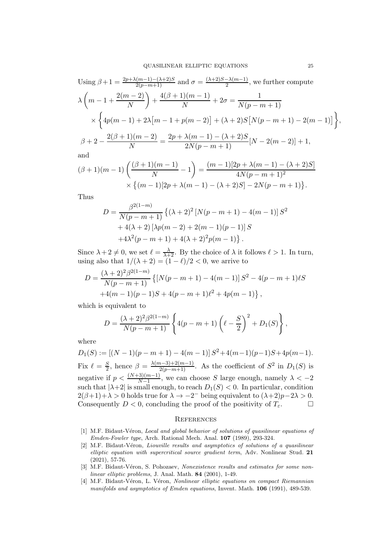Using 
$$
\beta + 1 = \frac{2p + \lambda(m-1) - (\lambda + 2)S}{2(p-m+1)}
$$
 and  $\sigma = \frac{(\lambda + 2)S - \lambda(m-1)}{2}$ , we further compute  
\n
$$
\lambda \left( m - 1 + \frac{2(m-2)}{N} \right) + \frac{4(\beta + 1)(m-1)}{N} + 2\sigma = \frac{1}{N(p-m+1)}
$$
\n
$$
\times \left\{ 4p(m-1) + 2\lambda[m-1 + p(m-2)] + (\lambda + 2)S[N(p-m+1) - 2(m-1)] \right\},
$$
\n
$$
\beta + 2 - \frac{2(\beta + 1)(m-2)}{N} = \frac{2p + \lambda(m-1) - (\lambda + 2)S}{2N(p-m+1)} [N - 2(m-2)] + 1,
$$

and

$$
(\beta + 1)(m - 1)\left(\frac{(\beta + 1)(m - 1)}{N} - 1\right) = \frac{(m - 1)[2p + \lambda(m - 1) - (\lambda + 2)S]}{4N(p - m + 1)^2}
$$

$$
\times \{(m - 1)[2p + \lambda(m - 1) - (\lambda + 2)S] - 2N(p - m + 1)\}.
$$

Thus

$$
D = \frac{\beta^{2(1-m)}}{N(p-m+1)} \left\{ (\lambda + 2)^2 \left[ N(p-m+1) - 4(m-1) \right] S^2 + 4(\lambda + 2) \left[ \lambda p(m-2) + 2(m-1)(p-1) \right] S + 4\lambda^2 (p-m+1) + 4(\lambda + 2)^2 p(m-1) \right\}.
$$

Since  $\lambda + 2 \neq 0$ , we set  $\ell = \frac{\lambda}{\lambda + 2}$ . By the choice of  $\lambda$  it follows  $\ell > 1$ . In turn, using also that  $1/(\lambda + 2) = (1 - \ell)/2 < 0$ , we arrive to

$$
D = \frac{(\lambda + 2)^2 \beta^{2(1-m)}}{N(p-m+1)} \left\{ [N(p-m+1) - 4(m-1)] S^2 - 4(p-m+1) \ell S + 4(m-1)(p-1)S + 4(p-m+1) \ell^2 + 4p(m-1) \right\},\,
$$

which is equivalent to

$$
D = \frac{(\lambda + 2)^2 \beta^{2(1-m)}}{N(p-m+1)} \left\{ 4(p-m+1) \left( \ell - \frac{S}{2} \right)^2 + D_1(S) \right\},\,
$$

where

 $D_1(S) := [(N-1)(p-m+1) - 4(m-1)] S^2 + 4(m-1)(p-1)S + 4p(m-1).$ Fix  $\ell = \frac{S}{2}$  $\frac{S}{2}$ , hence  $\beta = \frac{\lambda(m-3)+2(m-1)}{2(p-m+1)}$ . As the coefficient of  $S^2$  in  $D_1(S)$  is negative if  $p < \frac{(N+3)(m-1)}{N-1}$ , we can choose S large enough, namely  $\lambda < -2$ such that  $|\lambda+2|$  is small enough, to reach  $D_1(S) < 0$ . In particular, condition  $2(\beta+1)+\lambda > 0$  holds true for  $\lambda \to -2^-$  being equivalent to  $(\lambda+2)p-2\lambda > 0$ . Consequently  $D < 0$ , concluding the proof of the positivity of  $T_{\varepsilon}$ .

#### **REFERENCES**

- <span id="page-24-0"></span>[1] M.F. Bidaut-Véron, Local and global behavior of solutions of quasilinear equations of Emden-Fowler type, Arch. Rational Mech. Anal. 107 (1989), 293-324.
- <span id="page-24-3"></span>[2] M.F. Bidaut-Véron, Liouville results and asymptotics of solutions of a quasilinear elliptic equation with supercritical source gradient term, Adv. Nonlinear Stud. 21 (2021), 57-76.
- <span id="page-24-2"></span>[3] M.F. Bidaut-Véron, S. Pohozaev, Nonexistence results and estimates for some nonlinear elliptic problems, J. Anal. Math. 84 (2001), 1-49.
- <span id="page-24-1"></span>[4] M.F. Bidaut-Véron, L. Véron, Nonlinear elliptic equations on compact Riemannian manifolds and asymptotics of Emden equations, Invent. Math. 106 (1991), 489-539.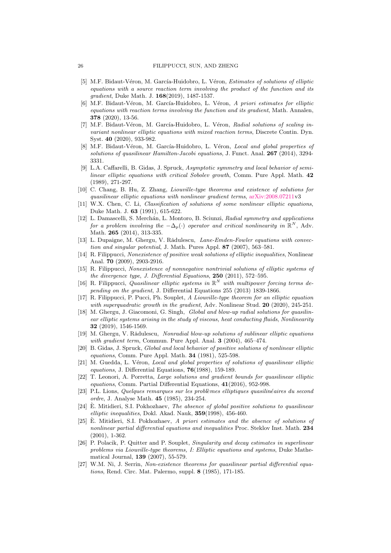- <span id="page-25-14"></span>[5] M.F. Bidaut-Véron, M. García-Huidobro, L. Véron, Estimates of solutions of elliptic equations with a source reaction term involving the product of the function and its gradient, Duke Math. J. 168(2019), 1487-1537.
- <span id="page-25-0"></span>[6] M.F. Bidaut-Véron, M. García-Huidobro, L. Véron, A priori estimates for elliptic equations with reaction terms involving the function and its gradient, Math. Annalen, 378 (2020), 13-56.
- <span id="page-25-1"></span>[7] M.F. Bidaut-Véron, M. García-Huidobro, L. Véron, Radial solutions of scaling invariant nonlinear elliptic equations with mixed reaction terms, Discrete Contin. Dyn. Syst. 40 (2020), 933-982.
- <span id="page-25-11"></span>[8] M.F. Bidaut-Véron, M. García-Huidobro, L. Véron, Local and global properties of solutions of quasilinear Hamilton-Jacobi equations, J. Funct. Anal. 267 (2014), 3294- 3331.
- <span id="page-25-2"></span>[9] L.A. Caffarelli, B. Gidas, J. Spruck, Asymptotic symmetry and local behavior of semilinear elliptic equations with critical Sobolev growth, Comm. Pure Appl. Math. 42 (1989), 271-297.
- <span id="page-25-16"></span>[10] C. Chang, B. Hu, Z. Zhang, Liouville-type theorems and existence of solutions for quasilinear elliptic equations with nonlinear gradient terms, [arXiv:2008.07211v](http://arxiv.org/abs/2008.07211)3
- <span id="page-25-3"></span>[11] W.X. Chen, C. Li, Classification of solutions of some nonlinear elliptic equations, Duke Math. J. 63 (1991), 615-622.
- <span id="page-25-4"></span>[12] L. Damascelli, S. Merchán, L. Montoro, B. Sciunzi, Radial symmetry and applications for a problem involving the  $-\Delta_p(\cdot)$  operator and critical nonlinearity in  $\mathbb{R}^N$ , Adv. Math. 265 (2014), 313-335.
- <span id="page-25-7"></span>[13] L. Dupaigne, M. Ghergu, V. Rǎdulescu, Lane-Emden-Fowler equations with convection and singular potential, J. Math. Pures Appl. 87 (2007), 563–581.
- <span id="page-25-18"></span>[14] R. Filippucci, Nonexistence of positive weak solutions of elliptic inequalities, Nonlinear Anal. 70 (2009), 2903-2916.
- <span id="page-25-19"></span>[15] R. Filippucci, Nonexistence of nonnegative nontrivial solutions of elliptic systems of the divergence type, J. Differential Equations, 250 (2011), 572–595.
- <span id="page-25-20"></span>[16] R. Filippucci, Quasilinear elliptic systems in  $\mathbb{R}^N$  with multipower forcing terms depending on the gradient, J. Differential Equations 255 (2013) 1839-1866.
- <span id="page-25-15"></span>[17] R. Filippucci, P. Pucci, Ph. Souplet, A Liouville-type theorem for an elliptic equation with superquadratic growth in the gradient, Adv. Nonlinear Stud. 20 (2020), 245-251.
- <span id="page-25-17"></span>[18] M. Ghergu, J. Giacomoni, G. Singh, Global and blow-up radial solutions for quasilinear elliptic systems arising in the study of viscous, heat conducting fluids, Nonlinearity 32 (2019), 1546-1569.
- <span id="page-25-8"></span>[19] M. Ghergu, V. Rǎdulescu, Nonradial blow-up solutions of sublinear elliptic equations with gradient term, Commun. Pure Appl. Anal. 3 (2004), 465-474.
- <span id="page-25-5"></span>[20] B. Gidas, J. Spruck, Global and local behavior of positive solutions of nonlinear elliptic equations, Comm. Pure Appl. Math. 34 (1981), 525-598.
- <span id="page-25-6"></span>[21] M. Guedda, L. Véron, Local and global properties of solutions of quasilinear elliptic equations, J. Differential Equations, 76(1988), 159-189.
- <span id="page-25-13"></span>[22] T. Leonori, A. Porretta, Large solutions and gradient bounds for quasilinear elliptic equations, Comm. Partial Differential Equations, 41(2016), 952-998.
- <span id="page-25-10"></span>[23] P.L. Lions, Quelques remarques sur les problèmes elliptiques quasilinéaires du second ordre, J. Analyse Math. 45 (1985), 234-254.
- <span id="page-25-9"></span> $[24]$  E. Mitidieri, S.I. Pokhozhaev, *The absence of global positive solutions to quasilinear* elliptic inequalities, Dokl. Akad. Nauk, 359(1998), 456-460.
- <span id="page-25-21"></span>[25]  $\dot{E}$ . Mitidieri, S.I. Pokhozhaev, A priori estimates and the absence of solutions of nonlinear partial differential equations and inequalities Proc. Steklov Inst. Math. 234 (2001), 1-362.
- <span id="page-25-12"></span>[26] P. Polacik, P. Quitter and P. Souplet, Singularity and decay estimates in superlinear problems via Liouville-type theorems, I: Elliptic equations and systems, Duke Mathematical Journal, 139 (2007), 55-579.
- [27] W.M. Ni, J. Serrin, Non-existence theorems for quasilinear partial differential equations, Rend. Circ. Mat. Palermo, suppl. 8 (1985), 171-185.